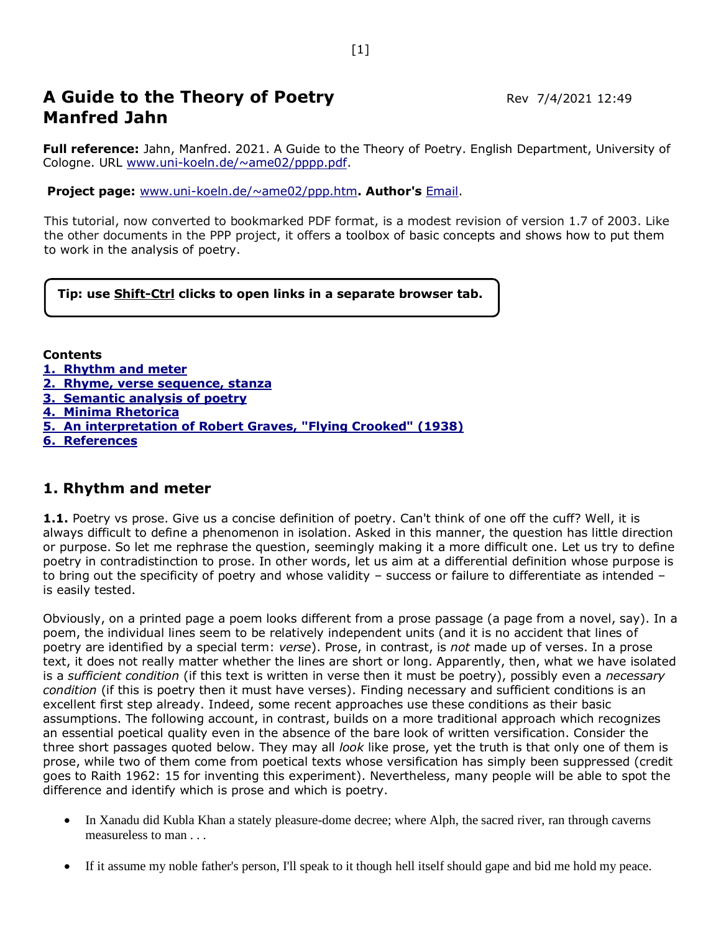# **A Guide to the Theory of Poetry Accept Accept Accept Accept Accept Accept Accept Accept Accept Accept Accept Accept Manfred Jahn**

**Full reference:** Jahn, Manfred. 2021. A Guide to the Theory of Poetry. English Department, University of Cologne. URL [www.uni-koeln.de/~ame02/pppp.pdf.](http://www.uni-koeln.de/~ame02/pppp.pdf)

**Project page:** [www.uni-koeln.de/~ame02/ppp.htm](http://www.uni-koeln.de/~ame02/ppp.htm)**. Author's** [Email.](mailto:manfred,jahn@uni-koeln.de?subject=PPP%20Poetry%20Tutorial)

This tutorial, now converted to bookmarked PDF format, is a modest revision of version 1.7 of 2003. Like the other documents in the PPP project, it offers a toolbox of basic concepts and shows how to put them to work in the analysis of poetry.

**Tip: use Shift-Ctrl clicks to open links in a separate browser tab.** 

**Contents [1. Rhythm and meter](#page-0-0) [2. Rhyme, verse sequence, stanza](#page-9-0) [3. Semantic analysis of poetry](#page-12-0) 4. Minima Rhetorica [5. An interpretation of Robert Graves, "Flying Crooked" \(1938\)](#page-25-0) [6. References](#page-27-0)**

## <span id="page-0-0"></span>**1. Rhythm and meter**

**1.1.** Poetry vs prose. Give us a concise definition of poetry. Can't think of one off the cuff? Well, it is always difficult to define a phenomenon in isolation. Asked in this manner, the question has little direction or purpose. So let me rephrase the question, seemingly making it a more difficult one. Let us try to define poetry in contradistinction to prose. In other words, let us aim at a differential definition whose purpose is to bring out the specificity of poetry and whose validity – success or failure to differentiate as intended – is easily tested.

Obviously, on a printed page a poem looks different from a prose passage (a page from a novel, say). In a poem, the individual lines seem to be relatively independent units (and it is no accident that lines of poetry are identified by a special term: *verse*). Prose, in contrast, is *not* made up of verses. In a prose text, it does not really matter whether the lines are short or long. Apparently, then, what we have isolated is a *sufficient condition* (if this text is written in verse then it must be poetry), possibly even a *necessary condition* (if this is poetry then it must have verses). Finding necessary and sufficient conditions is an excellent first step already. Indeed, some recent approaches use these conditions as their basic assumptions. The following account, in contrast, builds on a more traditional approach which recognizes an essential poetical quality even in the absence of the bare look of written versification. Consider the three short passages quoted below. They may all *look* like prose, yet the truth is that only one of them is prose, while two of them come from poetical texts whose versification has simply been suppressed (credit goes to Raith 1962: 15 for inventing this experiment). Nevertheless, many people will be able to spot the difference and identify which is prose and which is poetry.

- In Xanadu did Kubla Khan a stately pleasure-dome decree; where Alph, the sacred river, ran through caverns measureless to man . . .
- If it assume my noble father's person, I'll speak to it though hell itself should gape and bid me hold my peace.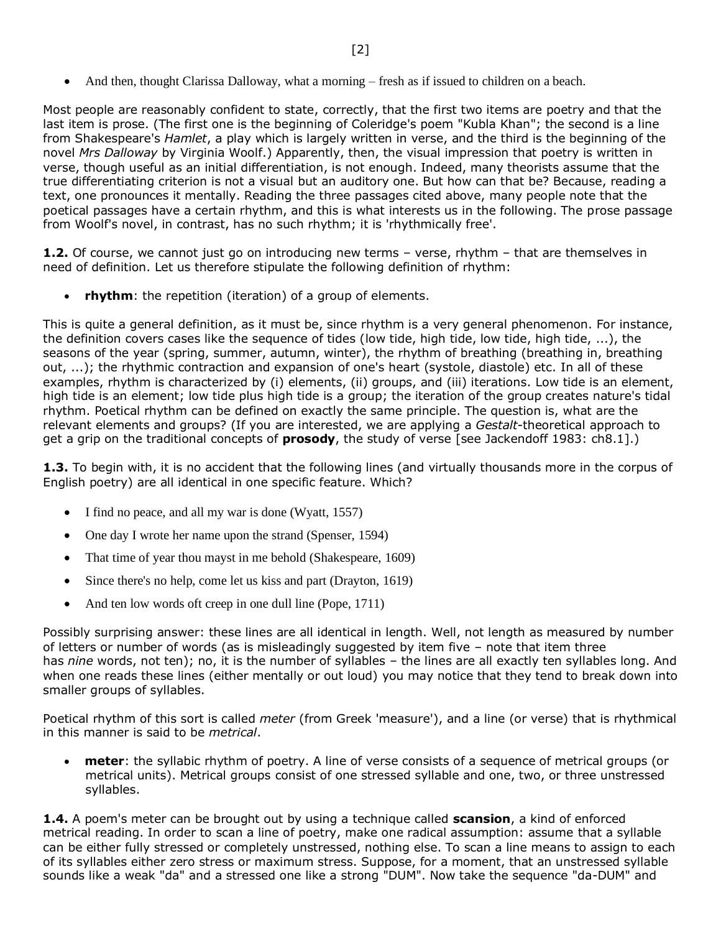• And then, thought Clarissa Dalloway, what a morning – fresh as if issued to children on a beach.

Most people are reasonably confident to state, correctly, that the first two items are poetry and that the last item is prose. (The first one is the beginning of Coleridge's poem "Kubla Khan"; the second is a line from Shakespeare's *Hamlet*, a play which is largely written in verse, and the third is the beginning of the novel *Mrs Dalloway* by Virginia Woolf.) Apparently, then, the visual impression that poetry is written in verse, though useful as an initial differentiation, is not enough. Indeed, many theorists assume that the true differentiating criterion is not a visual but an auditory one. But how can that be? Because, reading a text, one pronounces it mentally. Reading the three passages cited above, many people note that the poetical passages have a certain rhythm, and this is what interests us in the following. The prose passage from Woolf's novel, in contrast, has no such rhythm; it is 'rhythmically free'.

**1.2.** Of course, we cannot just go on introducing new terms – verse, rhythm – that are themselves in need of definition. Let us therefore stipulate the following definition of rhythm:

**rhythm**: the repetition (iteration) of a group of elements.

This is quite a general definition, as it must be, since rhythm is a very general phenomenon. For instance, the definition covers cases like the sequence of tides (low tide, high tide, low tide, high tide, ...), the seasons of the year (spring, summer, autumn, winter), the rhythm of breathing (breathing in, breathing out, ...); the rhythmic contraction and expansion of one's heart (systole, diastole) etc. In all of these examples, rhythm is characterized by (i) elements, (ii) groups, and (iii) iterations. Low tide is an element, high tide is an element; low tide plus high tide is a group; the iteration of the group creates nature's tidal rhythm. Poetical rhythm can be defined on exactly the same principle. The question is, what are the relevant elements and groups? (If you are interested, we are applying a *Gestalt*-theoretical approach to get a grip on the traditional concepts of **prosody**, the study of verse [see Jackendoff 1983: ch8.1].)

<span id="page-1-1"></span>**1.3.** To begin with, it is no accident that the following lines (and virtually thousands more in the corpus of English poetry) are all identical in one specific feature. Which?

- I find no peace, and all my war is done (Wyatt, 1557)
- One day I wrote her name upon the strand (Spenser, 1594)
- That time of year thou mayst in me behold (Shakespeare, 1609)
- Since there's no help, come let us kiss and part (Drayton, 1619)
- And ten low words oft creep in one dull line (Pope, 1711)

Possibly surprising answer: these lines are all identical in length. Well, not length as measured by number of letters or number of words (as is misleadingly suggested by item five – note that item three has *nine* words, not ten); no, it is the number of syllables – the lines are all exactly ten syllables long. And when one reads these lines (either mentally or out loud) you may notice that they tend to break down into smaller groups of syllables.

Poetical rhythm of this sort is called *meter* (from Greek 'measure'), and a line (or verse) that is rhythmical in this manner is said to be *metrical*.

• **meter**: the syllabic rhythm of poetry. A line of verse consists of a sequence of metrical groups (or metrical units). Metrical groups consist of one stressed syllable and one, two, or three unstressed syllables.

<span id="page-1-0"></span>**1.4.** A poem's meter can be brought out by using a technique called **scansion**, a kind of enforced metrical reading. In order to scan a line of poetry, make one radical assumption: assume that a syllable can be either fully stressed or completely unstressed, nothing else. To scan a line means to assign to each of its syllables either zero stress or maximum stress. Suppose, for a moment, that an unstressed syllable sounds like a weak "da" and a stressed one like a strong "DUM". Now take the sequence "da-DUM" and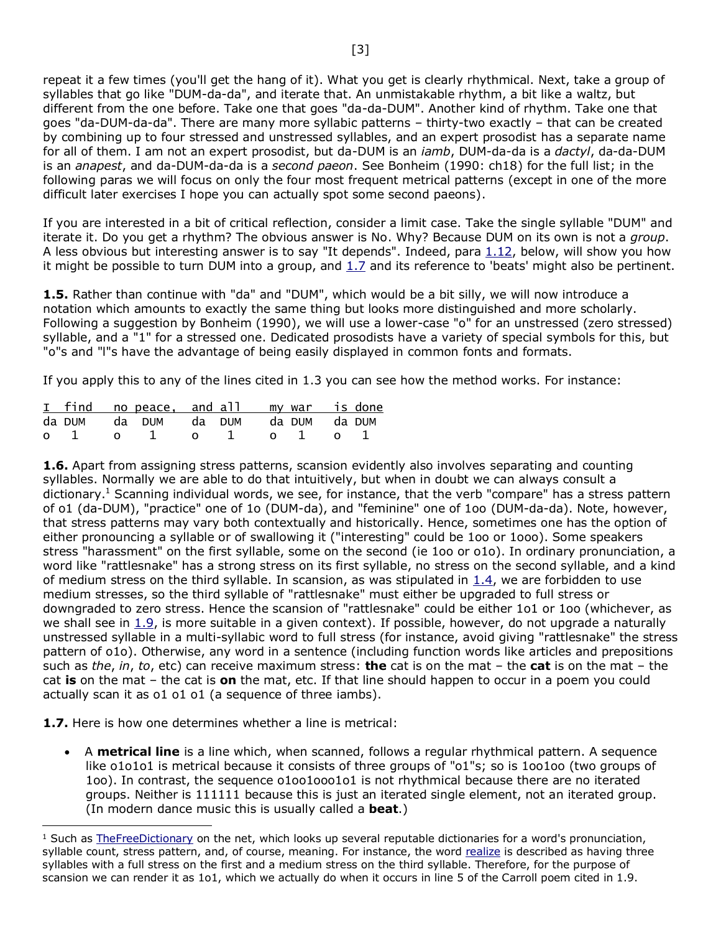repeat it a few times (you'll get the hang of it). What you get is clearly rhythmical. Next, take a group of syllables that go like "DUM-da-da", and iterate that. An unmistakable rhythm, a bit like a waltz, but different from the one before. Take one that goes "da-da-DUM". Another kind of rhythm. Take one that goes "da-DUM-da-da". There are many more syllabic patterns – thirty-two exactly – that can be created by combining up to four stressed and unstressed syllables, and an expert prosodist has a separate name for all of them. I am not an expert prosodist, but da-DUM is an *iamb*, DUM-da-da is a *dactyl*, da-da-DUM is an *anapest*, and da-DUM-da-da is a *second paeon*. See Bonheim (1990: ch18) for the full list; in the following paras we will focus on only the four most frequent metrical patterns (except in one of the more difficult later exercises I hope you can actually spot some second paeons).

If you are interested in a bit of critical reflection, consider a limit case. Take the single syllable "DUM" and iterate it. Do you get a rhythm? The obvious answer is No. Why? Because DUM on its own is not a *group*. A less obvious but interesting answer is to say "It depends". Indeed, para [1.12,](#page-4-0) below, will show you how it might be possible to turn DUM into a group, and [1.7](#page-2-0) and its reference to 'beats' might also be pertinent.

**1.5.** Rather than continue with "da" and "DUM", which would be a bit silly, we will now introduce a notation which amounts to exactly the same thing but looks more distinguished and more scholarly. Following a suggestion by Bonheim (1990), we will use a lower-case "o" for an unstressed (zero stressed) syllable, and a "1" for a stressed one. Dedicated prosodists have a variety of special symbols for this, but "o"s and "l"s have the advantage of being easily displayed in common fonts and formats.

If you apply this to any of the lines cited in 1.3 you can see how the method works. For instance:

|  | I find no peace, and all           |  |  | my war   is done  |  |
|--|------------------------------------|--|--|-------------------|--|
|  | da DUM da DUM da DUM da DUM da DUM |  |  |                   |  |
|  | 0 1 0 1 0                          |  |  | $\circ$ 1 $\circ$ |  |

<span id="page-2-1"></span>**1.6.** Apart from assigning stress patterns, scansion evidently also involves separating and counting syllables. Normally we are able to do that intuitively, but when in doubt we can always consult a dictionary.<sup>1</sup> Scanning individual words, we see, for instance, that the verb "compare" has a stress pattern of o1 (da-DUM), "practice" one of 1o (DUM-da), and "feminine" one of 1oo (DUM-da-da). Note, however, that stress patterns may vary both contextually and historically. Hence, sometimes one has the option of either pronouncing a syllable or of swallowing it ("interesting" could be 1oo or 1ooo). Some speakers stress "harassment" on the first syllable, some on the second (ie 1oo or o1o). In ordinary pronunciation, a word like "rattlesnake" has a strong stress on its first syllable, no stress on the second syllable, and a kind of medium stress on the third syllable. In scansion, as was stipulated in  $1.4$ , we are forbidden to use medium stresses, so the third syllable of "rattlesnake" must either be upgraded to full stress or downgraded to zero stress. Hence the scansion of "rattlesnake" could be either 1o1 or 1oo (whichever, as we shall see in [1.9,](#page-3-0) is more suitable in a given context). If possible, however, do not upgrade a naturally unstressed syllable in a multi-syllabic word to full stress (for instance, avoid giving "rattlesnake" the stress pattern of o1o). Otherwise, any word in a sentence (including function words like articles and prepositions such as *the*, *in*, *to*, etc) can receive maximum stress: **the** cat is on the mat – the **cat** is on the mat – the cat **is** on the mat – the cat is **on** the mat, etc. If that line should happen to occur in a poem you could actually scan it as o1 o1 o1 (a sequence of three iambs).

<span id="page-2-0"></span>**1.7.** Here is how one determines whether a line is metrical:

• A **metrical line** is a line which, when scanned, follows a regular rhythmical pattern. A sequence like o1o1o1 is metrical because it consists of three groups of "o1"s; so is 1oo1oo (two groups of 1oo). In contrast, the sequence o1oo1ooo1o1 is not rhythmical because there are no iterated groups. Neither is 111111 because this is just an iterated single element, not an iterated group. (In modern dance music this is usually called a **beat**.)

<sup>&</sup>lt;sup>1</sup> Such as [TheFreeDictionary](https://www.thefreedictionary.com/) on the net, which looks up several reputable dictionaries for a word's pronunciation, syllable count, stress pattern, and, of course, meaning. For instance, the word [realize](https://www.thefreedictionary.com/realize) is described as having three syllables with a full stress on the first and a medium stress on the third syllable. Therefore, for the purpose of scansion we can render it as 1o1, which we actually do when it occurs in line 5 of the Carroll poem cited in 1.9.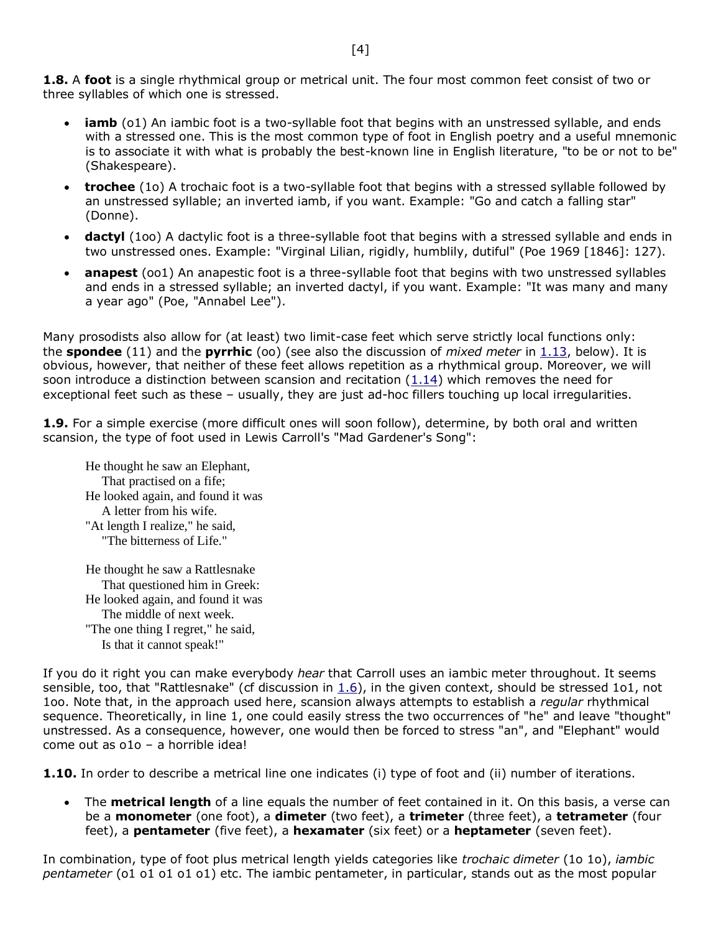<span id="page-3-1"></span>**1.8.** A **foot** is a single rhythmical group or metrical unit. The four most common feet consist of two or three syllables of which one is stressed.

- **iamb** (01) An iambic foot is a two-syllable foot that begins with an unstressed syllable, and ends with a stressed one. This is the most common type of foot in English poetry and a useful mnemonic is to associate it with what is probably the best-known line in English literature, "to be or not to be" (Shakespeare).
- **trochee** (1o) A trochaic foot is a two-syllable foot that begins with a stressed syllable followed by an unstressed syllable; an inverted iamb, if you want. Example: "Go and catch a falling star" (Donne).
- **dactyl** (100) A dactylic foot is a three-syllable foot that begins with a stressed syllable and ends in two unstressed ones. Example: "Virginal Lilian, rigidly, humblily, dutiful" (Poe 1969 [1846]: 127).
- anapest (001) An anapestic foot is a three-syllable foot that begins with two unstressed syllables and ends in a stressed syllable; an inverted dactyl, if you want. Example: "It was many and many a year ago" (Poe, "Annabel Lee").

Many prosodists also allow for (at least) two limit-case feet which serve strictly local functions only: the **spondee** (11) and the **pyrrhic** (oo) (see also the discussion of *mixed meter* in [1.13,](#page-5-0) below). It is obvious, however, that neither of these feet allows repetition as a rhythmical group. Moreover, we will soon introduce a distinction between scansion and recitation  $(1.14)$  which removes the need for exceptional feet such as these – usually, they are just ad-hoc fillers touching up local irregularities.

<span id="page-3-0"></span>**1.9.** For a simple exercise (more difficult ones will soon follow), determine, by both oral and written scansion, the type of foot used in Lewis Carroll's "Mad Gardener's Song":

He thought he saw an Elephant, That practised on a fife; He looked again, and found it was A letter from his wife. "At length I realize," he said, "The bitterness of Life."

He thought he saw a Rattlesnake That questioned him in Greek: He looked again, and found it was The middle of next week. "The one thing I regret," he said, Is that it cannot speak!"

If you do it right you can make everybody *hear* that Carroll uses an iambic meter throughout. It seems sensible, too, that "Rattlesnake" (cf discussion in [1.6\)](#page-2-1), in the given context, should be stressed 1o1, not 1oo. Note that, in the approach used here, scansion always attempts to establish a *regular* rhythmical sequence. Theoretically, in line 1, one could easily stress the two occurrences of "he" and leave "thought" unstressed. As a consequence, however, one would then be forced to stress "an", and "Elephant" would come out as o1o – a horrible idea!

**1.10.** In order to describe a metrical line one indicates (i) type of foot and (ii) number of iterations.

• The **metrical length** of a line equals the number of feet contained in it. On this basis, a verse can be a **monometer** (one foot), a **dimeter** (two feet), a **trimeter** (three feet), a **tetrameter** (four feet), a **pentameter** (five feet), a **hexamater** (six feet) or a **heptameter** (seven feet).

In combination, type of foot plus metrical length yields categories like *trochaic dimeter* (1o 1o), *iambic pentameter* (o1 o1 o1 o1 o1) etc. The iambic pentameter, in particular, stands out as the most popular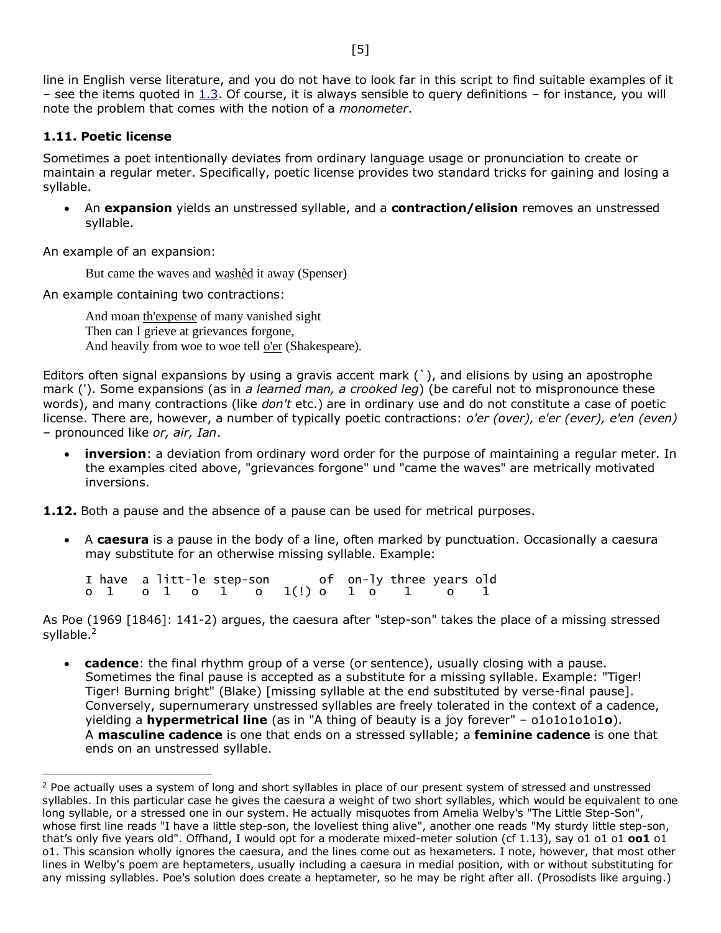line in English verse literature, and you do not have to look far in this script to find suitable examples of it – see the items quoted in [1.3.](#page-1-1) Of course, it is always sensible to query definitions – for instance, you will note the problem that comes with the notion of a *monometer*.

#### <span id="page-4-1"></span>**1.11. Poetic license**

Sometimes a poet intentionally deviates from ordinary language usage or pronunciation to create or maintain a regular meter. Specifically, poetic license provides two standard tricks for gaining and losing a syllable.

• An **expansion** yields an unstressed syllable, and a **contraction/elision** removes an unstressed syllable.

An example of an expansion:

But came the waves and washèd it away (Spenser)

An example containing two contractions:

And moan th'expense of many vanished sight Then can I grieve at grievances forgone, And heavily from woe to woe tell o'er (Shakespeare).

Editors often signal expansions by using a gravis accent mark (`), and elisions by using an apostrophe mark ('). Some expansions (as in *a learned man, a crooked leg*) (be careful not to mispronounce these words), and many contractions (like *don't* etc.) are in ordinary use and do not constitute a case of poetic license. There are, however, a number of typically poetic contractions: *o'er (over), e'er (ever), e'en (even)* – pronounced like *or, air, Ian*.

• **inversion**: a deviation from ordinary word order for the purpose of maintaining a regular meter. In the examples cited above, "grievances forgone" und "came the waves" are metrically motivated inversions.

<span id="page-4-0"></span>**1.12.** Both a pause and the absence of a pause can be used for metrical purposes.

• A **caesura** is a pause in the body of a line, often marked by punctuation. Occasionally a caesura may substitute for an otherwise missing syllable. Example:

 I have a litt-le step-son of on-ly three years old o 1 o 1 o 1 o 1(!) o 1 o 1 o 1

As Poe (1969 [1846]: 141-2) argues, the caesura after "step-son" takes the place of a missing stressed syllable. $2$ 

• **cadence**: the final rhythm group of a verse (or sentence), usually closing with a pause. Sometimes the final pause is accepted as a substitute for a missing syllable. Example: "Tiger! Tiger! Burning bright" (Blake) [missing syllable at the end substituted by verse-final pause]. Conversely, supernumerary unstressed syllables are freely tolerated in the context of a cadence, yielding a **hypermetrical line** (as in "A thing of beauty is a joy forever" – o1o1o1o1o1**o**). A **masculine cadence** is one that ends on a stressed syllable; a **feminine cadence** is one that ends on an unstressed syllable.

<sup>&</sup>lt;sup>2</sup> Poe actually uses a system of long and short syllables in place of our present system of stressed and unstressed syllables. In this particular case he gives the caesura a weight of two short syllables, which would be equivalent to one long syllable, or a stressed one in our system. He actually misquotes from Amelia Welby's "The Little Step-Son", whose first line reads "I have a little step-son, the loveliest thing alive", another one reads "My sturdy little step-son, that's only five years old". Offhand, I would opt for a moderate mixed-meter solution (cf 1.13), say o1 o1 o1 **oo1** o1 o1. This scansion wholly ignores the caesura, and the lines come out as hexameters. I note, however, that most other lines in Welby's poem are heptameters, usually including a caesura in medial position, with or without substituting for any missing syllables. Poe's solution does create a heptameter, so he may be right after all. (Prosodists like arguing.)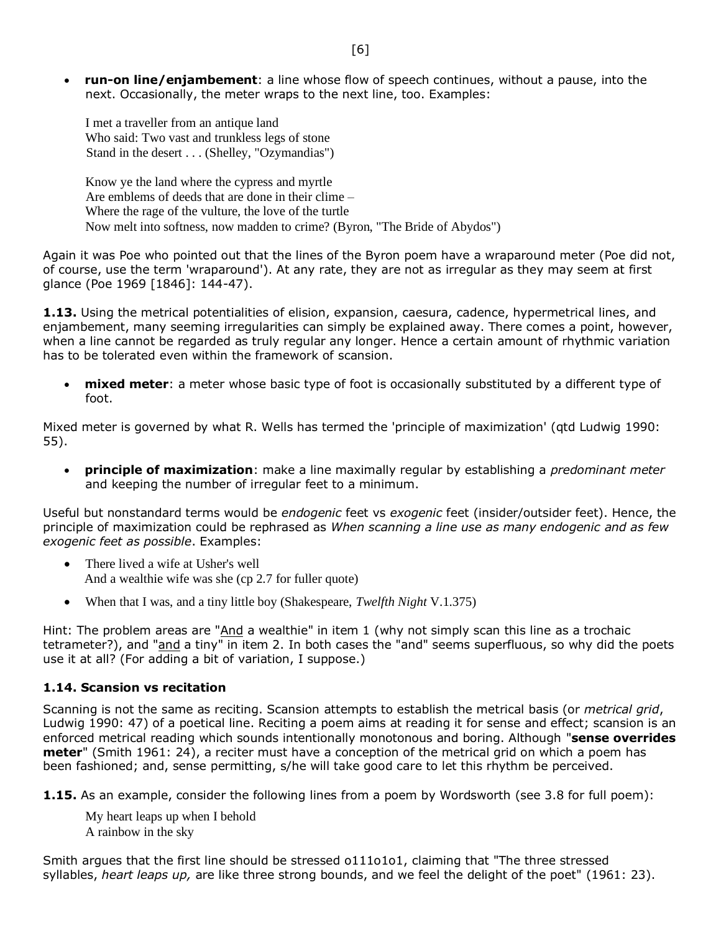• **run-on line/enjambement**: a line whose flow of speech continues, without a pause, into the next. Occasionally, the meter wraps to the next line, too. Examples:

I met a traveller from an antique land Who said: Two vast and trunkless legs of stone Stand in the desert . . . (Shelley, "Ozymandias")

Know ye the land where the cypress and myrtle Are emblems of deeds that are done in their clime – Where the rage of the vulture, the love of the turtle Now melt into softness, now madden to crime? (Byron, "The Bride of Abydos")

Again it was Poe who pointed out that the lines of the Byron poem have a wraparound meter (Poe did not, of course, use the term 'wraparound'). At any rate, they are not as irregular as they may seem at first glance (Poe 1969 [1846]: 144-47).

<span id="page-5-0"></span>**1.13.** Using the metrical potentialities of elision, expansion, caesura, cadence, hypermetrical lines, and enjambement, many seeming irregularities can simply be explained away. There comes a point, however, when a line cannot be regarded as truly regular any longer. Hence a certain amount of rhythmic variation has to be tolerated even within the framework of scansion.

• **mixed meter**: a meter whose basic type of foot is occasionally substituted by a different type of foot.

Mixed meter is governed by what R. Wells has termed the 'principle of maximization' (qtd Ludwig 1990: 55).

• **principle of maximization**: make a line maximally regular by establishing a *predominant meter* and keeping the number of irregular feet to a minimum.

Useful but nonstandard terms would be *endogenic* feet vs *exogenic* feet (insider/outsider feet). Hence, the principle of maximization could be rephrased as *When scanning a line use as many endogenic and as few exogenic feet as possible*. Examples:

- There lived a wife at Usher's well And a wealthie wife was she (cp [2.7](file:///D:/bBO/Public_html%20Backup/pppp.htm%23P2.7) for fuller quote)
- When that I was, and a tiny little boy (Shakespeare, *Twelfth Night* V.1.375)

Hint: The problem areas are "And a wealthie" in item 1 (why not simply scan this line as a trochaic tetrameter?), and "and a tiny" in item 2. In both cases the "and" seems superfluous, so why did the poets use it at all? (For adding a bit of variation, I suppose.)

### <span id="page-5-1"></span>**1.14. Scansion vs recitation**

Scanning is not the same as reciting. Scansion attempts to establish the metrical basis (or *metrical grid*, Ludwig 1990: 47) of a poetical line. Reciting a poem aims at reading it for sense and effect; scansion is an enforced metrical reading which sounds intentionally monotonous and boring. Although "**sense overrides meter**" (Smith 1961: 24), a reciter must have a conception of the metrical grid on which a poem has been fashioned; and, sense permitting, s/he will take good care to let this rhythm be perceived.

**1.15.** As an example, consider the following lines from a poem by Wordsworth (see 3.8 for full poem):

My heart leaps up when I behold A rainbow in the sky

Smith argues that the first line should be stressed o111o1o1, claiming that "The three stressed syllables, *heart leaps up,* are like three strong bounds, and we feel the delight of the poet" (1961: 23).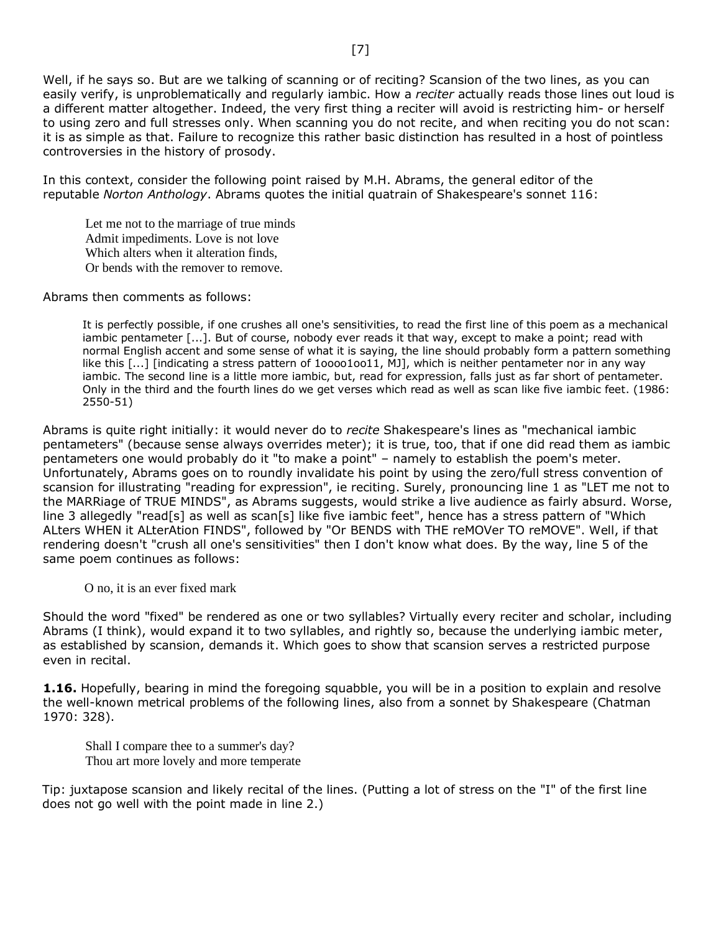Well, if he says so. But are we talking of scanning or of reciting? Scansion of the two lines, as you can easily verify, is unproblematically and regularly iambic. How a *reciter* actually reads those lines out loud is a different matter altogether. Indeed, the very first thing a reciter will avoid is restricting him- or herself to using zero and full stresses only. When scanning you do not recite, and when reciting you do not scan: it is as simple as that. Failure to recognize this rather basic distinction has resulted in a host of pointless controversies in the history of prosody.

In this context, consider the following point raised by M.H. Abrams, the general editor of the reputable *Norton Anthology*. Abrams quotes the initial quatrain of Shakespeare's sonnet 116:

Let me not to the marriage of true minds Admit impediments. Love is not love Which alters when it alteration finds. Or bends with the remover to remove.

Abrams then comments as follows:

It is perfectly possible, if one crushes all one's sensitivities, to read the first line of this poem as a mechanical iambic pentameter [...]. But of course, nobody ever reads it that way, except to make a point; read with normal English accent and some sense of what it is saying, the line should probably form a pattern something like this [...] [indicating a stress pattern of 1000010011, MJ], which is neither pentameter nor in any way iambic. The second line is a little more iambic, but, read for expression, falls just as far short of pentameter. Only in the third and the fourth lines do we get verses which read as well as scan like five iambic feet. (1986: 2550-51)

Abrams is quite right initially: it would never do to *recite* Shakespeare's lines as "mechanical iambic pentameters" (because sense always overrides meter); it is true, too, that if one did read them as iambic pentameters one would probably do it "to make a point" – namely to establish the poem's meter. Unfortunately, Abrams goes on to roundly invalidate his point by using the zero/full stress convention of scansion for illustrating "reading for expression", ie reciting. Surely, pronouncing line 1 as "LET me not to the MARRiage of TRUE MINDS", as Abrams suggests, would strike a live audience as fairly absurd. Worse, line 3 allegedly "read[s] as well as scan[s] like five iambic feet", hence has a stress pattern of "Which ALters WHEN it ALterAtion FINDS", followed by "Or BENDS with THE reMOVer TO reMOVE". Well, if that rendering doesn't "crush all one's sensitivities" then I don't know what does. By the way, line 5 of the same poem continues as follows:

O no, it is an ever fixed mark

Should the word "fixed" be rendered as one or two syllables? Virtually every reciter and scholar, including Abrams (I think), would expand it to two syllables, and rightly so, because the underlying iambic meter, as established by scansion, demands it. Which goes to show that scansion serves a restricted purpose even in recital.

**1.16.** Hopefully, bearing in mind the foregoing squabble, you will be in a position to explain and resolve the well-known metrical problems of the following lines, also from a sonnet by Shakespeare (Chatman 1970: 328).

Shall I compare thee to a summer's day? Thou art more lovely and more temperate

Tip: juxtapose scansion and likely recital of the lines. (Putting a lot of stress on the "I" of the first line does not go well with the point made in line 2.)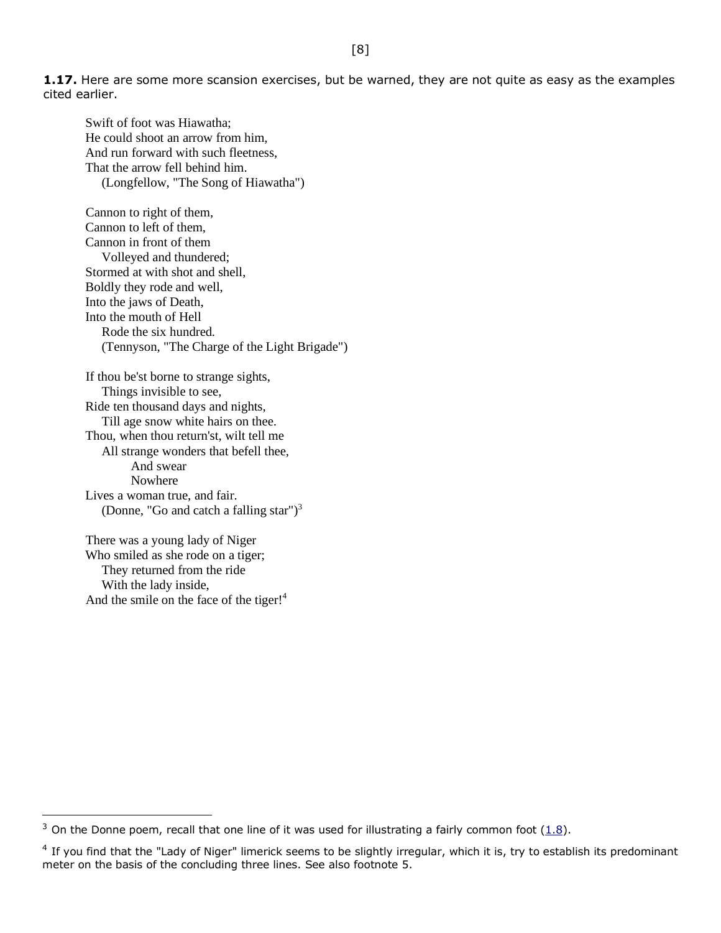<span id="page-7-0"></span>**1.17.** Here are some more scansion exercises, but be warned, they are not quite as easy as the examples cited earlier.

Swift of foot was Hiawatha; He could shoot an arrow from him, And run forward with such fleetness, That the arrow fell behind him. (Longfellow, "The Song of Hiawatha")

Cannon to right of them, Cannon to left of them, Cannon in front of them Volleyed and thundered; Stormed at with shot and shell, Boldly they rode and well, Into the jaws of Death, Into the mouth of Hell Rode the six hundred. (Tennyson, "The Charge of the Light Brigade")

If thou be'st borne to strange sights, Things invisible to see, Ride ten thousand days and nights, Till age snow white hairs on thee. Thou, when thou return'st, wilt tell me All strange wonders that befell thee, And swear Nowhere Lives a woman true, and fair. (Donne, "Go and catch a falling star") $3$ 

There was a young lady of Niger Who smiled as she rode on a tiger; They returned from the ride With the lady inside, And the smile on the face of the tiger!<sup>4</sup>

 $3$  On the Donne poem, recall that one line of it was used for illustrating a fairly common foot  $(1.8)$ .

 $4$  If you find that the "Lady of Niger" limerick seems to be slightly irregular, which it is, try to establish its predominant meter on the basis of the concluding three lines. See also footnote 5.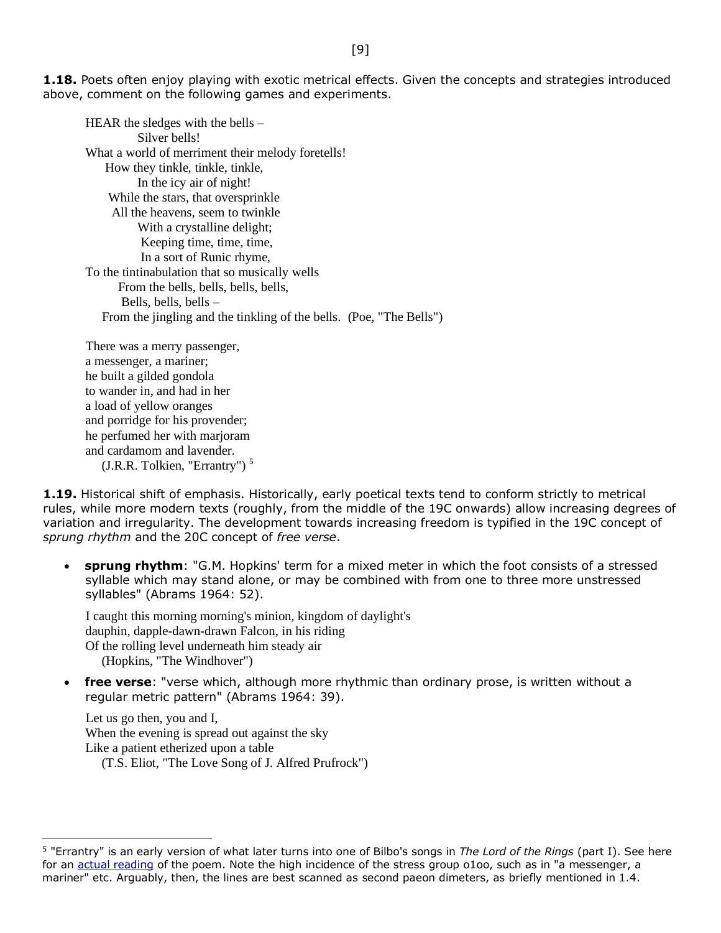**1.18.** Poets often enjoy playing with exotic metrical effects. Given the concepts and strategies introduced above, comment on the following games and experiments.

HEAR the sledges with the bells – Silver bells! What a world of merriment their melody foretells! How they tinkle, tinkle, tinkle, In the icy air of night! While the stars, that oversprinkle All the heavens, seem to twinkle With a crystalline delight; Keeping time, time, time, In a sort of Runic rhyme, To the tintinabulation that so musically wells From the bells, bells, bells, bells, Bells, bells, bells  $-$ From the jingling and the tinkling of the bells. (Poe, "The Bells") There was a merry passenger, a messenger, a mariner; he built a gilded gondola to wander in, and had in her

a load of yellow oranges and porridge for his provender; he perfumed her with marjoram and cardamom and lavender. (J.R.R. Tolkien, "Errantry") <sup>5</sup>

**1.19.** Historical shift of emphasis. Historically, early poetical texts tend to conform strictly to metrical rules, while more modern texts (roughly, from the middle of the 19C onwards) allow increasing degrees of variation and irregularity. The development towards increasing freedom is typified in the 19C concept of *sprung rhythm* and the 20C concept of *free verse*.

• **sprung rhythm**: "G.M. Hopkins' term for a mixed meter in which the foot consists of a stressed syllable which may stand alone, or may be combined with from one to three more unstressed syllables" (Abrams 1964: 52).

I caught this morning morning's minion, kingdom of daylight's dauphin, dapple-dawn-drawn Falcon, in his riding Of the rolling level underneath him steady air (Hopkins, "The Windhover")

• **free verse**: "verse which, although more rhythmic than ordinary prose, is written without a regular metric pattern" (Abrams 1964: 39).

Let us go then, you and I, When the evening is spread out against the sky Like a patient etherized upon a table (T.S. Eliot, "The Love Song of J. Alfred Prufrock")

<sup>5</sup> "Errantry" is an early version of what later turns into one of Bilbo's songs in *The Lord of the Rings* (part I). See here for an [actual reading](https://www.youtube.com/watch?v=haJBsRBJbIU) of the poem. Note the high incidence of the stress group o1oo, such as in "a messenger, a mariner" etc. Arguably, then, the lines are best scanned as second paeon dimeters, as briefly mentioned in 1.4.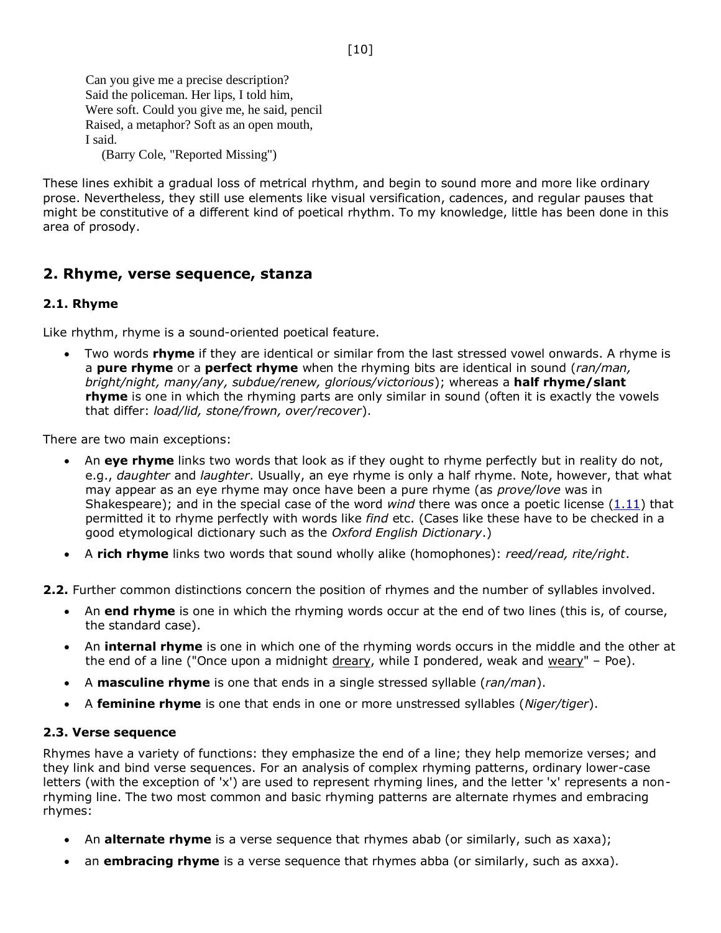Can you give me a precise description? Said the policeman. Her lips, I told him, Were soft. Could you give me, he said, pencil Raised, a metaphor? Soft as an open mouth, I said.

(Barry Cole, "Reported Missing")

These lines exhibit a gradual loss of metrical rhythm, and begin to sound more and more like ordinary prose. Nevertheless, they still use elements like visual versification, cadences, and regular pauses that might be constitutive of a different kind of poetical rhythm. To my knowledge, little has been done in this area of prosody.

## <span id="page-9-0"></span>**2. Rhyme, verse sequence, stanza**

#### **2.1. Rhyme**

Like rhythm, rhyme is a sound-oriented poetical feature.

• Two words **rhyme** if they are identical or similar from the last stressed vowel onwards. A rhyme is a **pure rhyme** or a **perfect rhyme** when the rhyming bits are identical in sound (*ran/man, bright/night, many/any, subdue/renew, glorious/victorious*); whereas a **half rhyme/slant rhyme** is one in which the rhyming parts are only similar in sound (often it is exactly the vowels that differ: *load/lid, stone/frown, over/recover*).

There are two main exceptions:

- An **eye rhyme** links two words that look as if they ought to rhyme perfectly but in reality do not, e.g., *daughter* and *laughter*. Usually, an eye rhyme is only a half rhyme. Note, however, that what may appear as an eye rhyme may once have been a pure rhyme (as *prove/love* was in Shakespeare); and in the special case of the word *wind* there was once a poetic license [\(1.11\)](#page-4-1) that permitted it to rhyme perfectly with words like *find* etc. (Cases like these have to be checked in a good etymological dictionary such as the *Oxford English Dictionary*.)
- A **rich rhyme** links two words that sound wholly alike (homophones): *reed/read, rite/right*.

**2.2.** Further common distinctions concern the position of rhymes and the number of syllables involved.

- An **end rhyme** is one in which the rhyming words occur at the end of two lines (this is, of course, the standard case).
- An **internal rhyme** is one in which one of the rhyming words occurs in the middle and the other at the end of a line ("Once upon a midnight dreary, while I pondered, weak and weary" – Poe).
- A **masculine rhyme** is one that ends in a single stressed syllable (*ran/man*).
- A **feminine rhyme** is one that ends in one or more unstressed syllables (*Niger/tiger*).

#### **2.3. Verse sequence**

Rhymes have a variety of functions: they emphasize the end of a line; they help memorize verses; and they link and bind verse sequences. For an analysis of complex rhyming patterns, ordinary lower-case letters (with the exception of 'x') are used to represent rhyming lines, and the letter 'x' represents a nonrhyming line. The two most common and basic rhyming patterns are alternate rhymes and embracing rhymes:

- An **alternate rhyme** is a verse sequence that rhymes abab (or similarly, such as xaxa);
- an **embracing rhyme** is a verse sequence that rhymes abba (or similarly, such as axxa).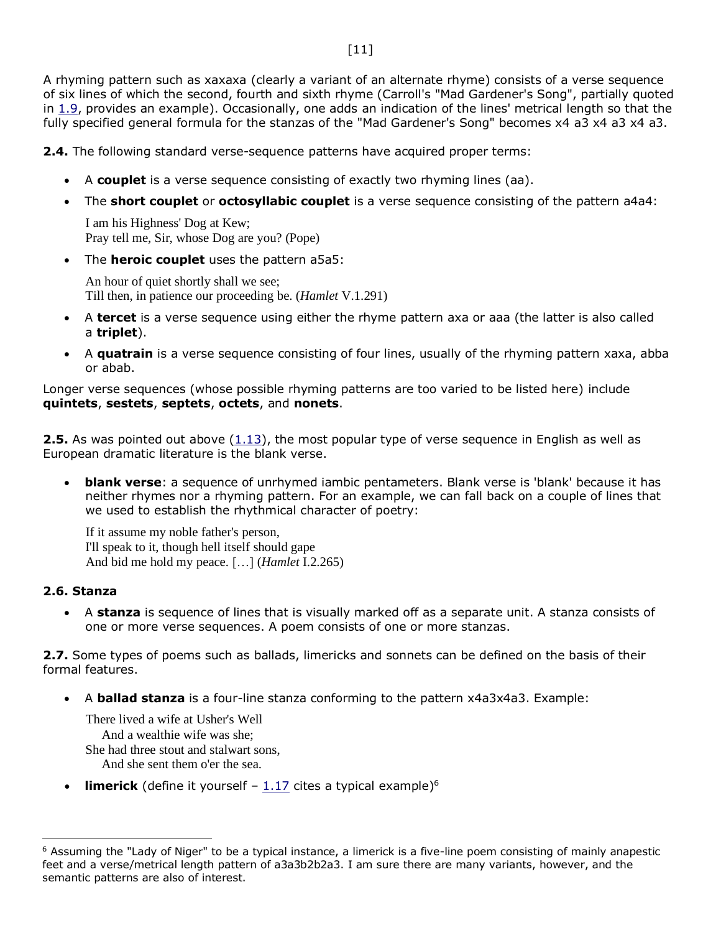A rhyming pattern such as xaxaxa (clearly a variant of an alternate rhyme) consists of a verse sequence of six lines of which the second, fourth and sixth rhyme (Carroll's "Mad Gardener's Song", partially quoted in [1.9,](#page-3-0) provides an example). Occasionally, one adds an indication of the lines' metrical length so that the fully specified general formula for the stanzas of the "Mad Gardener's Song" becomes x4 a3 x4 a3 x4 a3.

**2.4.** The following standard verse-sequence patterns have acquired proper terms:

- A **couplet** is a verse sequence consisting of exactly two rhyming lines (aa).
- The **short couplet** or **octosyllabic couplet** is a verse sequence consisting of the pattern a4a4:

I am his Highness' Dog at Kew; Pray tell me, Sir, whose Dog are you? (Pope)

• The **heroic couplet** uses the pattern a5a5:

An hour of quiet shortly shall we see; Till then, in patience our proceeding be. (*Hamlet* V.1.291)

- A **tercet** is a verse sequence using either the rhyme pattern axa or aaa (the latter is also called a **triplet**).
- A **quatrain** is a verse sequence consisting of four lines, usually of the rhyming pattern xaxa, abba or abab.

Longer verse sequences (whose possible rhyming patterns are too varied to be listed here) include **quintets**, **sestets**, **septets**, **octets**, and **nonets**.

**2.5.** As was pointed out above  $(1.13)$ , the most popular type of verse sequence in English as well as European dramatic literature is the blank verse.

• **blank verse**: a sequence of unrhymed iambic pentameters. Blank verse is 'blank' because it has neither rhymes nor a rhyming pattern. For an example, we can fall back on a couple of lines that we used to establish the rhythmical character of poetry:

If it assume my noble father's person, I'll speak to it, though hell itself should gape And bid me hold my peace. […] (*Hamlet* I.2.265)

#### **2.6. Stanza**

• A **stanza** is sequence of lines that is visually marked off as a separate unit. A stanza consists of one or more verse sequences. A poem consists of one or more stanzas.

**2.7.** Some types of poems such as ballads, limericks and sonnets can be defined on the basis of their formal features.

• A **ballad stanza** is a four-line stanza conforming to the pattern x4a3x4a3. Example:

There lived a wife at Usher's Well And a wealthie wife was she; She had three stout and stalwart sons, And she sent them o'er the sea.

**limerick** (define it yourself  $-1.17$  $-1.17$  cites a typical example)<sup>6</sup>

 $6$  Assuming the "Lady of Niger" to be a typical instance, a limerick is a five-line poem consisting of mainly anapestic feet and a verse/metrical length pattern of a3a3b2b2a3. I am sure there are many variants, however, and the semantic patterns are also of interest.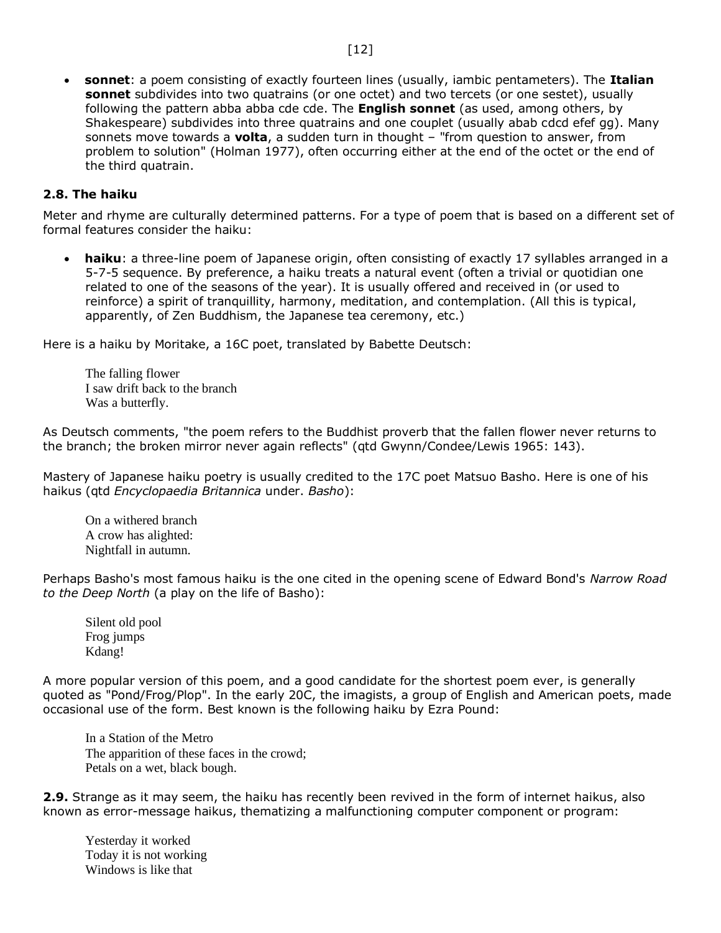• **sonnet**: a poem consisting of exactly fourteen lines (usually, iambic pentameters). The **Italian sonnet** subdivides into two quatrains (or one octet) and two tercets (or one sestet), usually following the pattern abba abba cde cde. The **English sonnet** (as used, among others, by Shakespeare) subdivides into three quatrains and one couplet (usually abab cdcd efef gg). Many sonnets move towards a **volta**, a sudden turn in thought – "from question to answer, from problem to solution" (Holman 1977), often occurring either at the end of the octet or the end of the third quatrain.

#### **2.8. The haiku**

Meter and rhyme are culturally determined patterns. For a type of poem that is based on a different set of formal features consider the haiku:

• **haiku**: a three-line poem of Japanese origin, often consisting of exactly 17 syllables arranged in a 5-7-5 sequence. By preference, a haiku treats a natural event (often a trivial or quotidian one related to one of the seasons of the year). It is usually offered and received in (or used to reinforce) a spirit of tranquillity, harmony, meditation, and contemplation. (All this is typical, apparently, of Zen Buddhism, the Japanese tea ceremony, etc.)

Here is a haiku by Moritake, a 16C poet, translated by Babette Deutsch:

The falling flower I saw drift back to the branch Was a butterfly.

As Deutsch comments, "the poem refers to the Buddhist proverb that the fallen flower never returns to the branch; the broken mirror never again reflects" (qtd Gwynn/Condee/Lewis 1965: 143).

Mastery of Japanese haiku poetry is usually credited to the 17C poet Matsuo Basho. Here is one of his haikus (qtd *Encyclopaedia Britannica* under. *Basho*):

On a withered branch A crow has alighted: Nightfall in autumn.

Perhaps Basho's most famous haiku is the one cited in the opening scene of Edward Bond's *Narrow Road to the Deep North* (a play on the life of Basho):

Silent old pool Frog jumps Kdang!

A more popular version of this poem, and a good candidate for the shortest poem ever, is generally quoted as "Pond/Frog/Plop". In the early 20C, the imagists, a group of English and American poets, made occasional use of the form. Best known is the following haiku by Ezra Pound:

In a Station of the Metro The apparition of these faces in the crowd; Petals on a wet, black bough.

**2.9.** Strange as it may seem, the haiku has recently been revived in the form of internet haikus, also known as error-message haikus, thematizing a malfunctioning computer component or program:

Yesterday it worked Today it is not working Windows is like that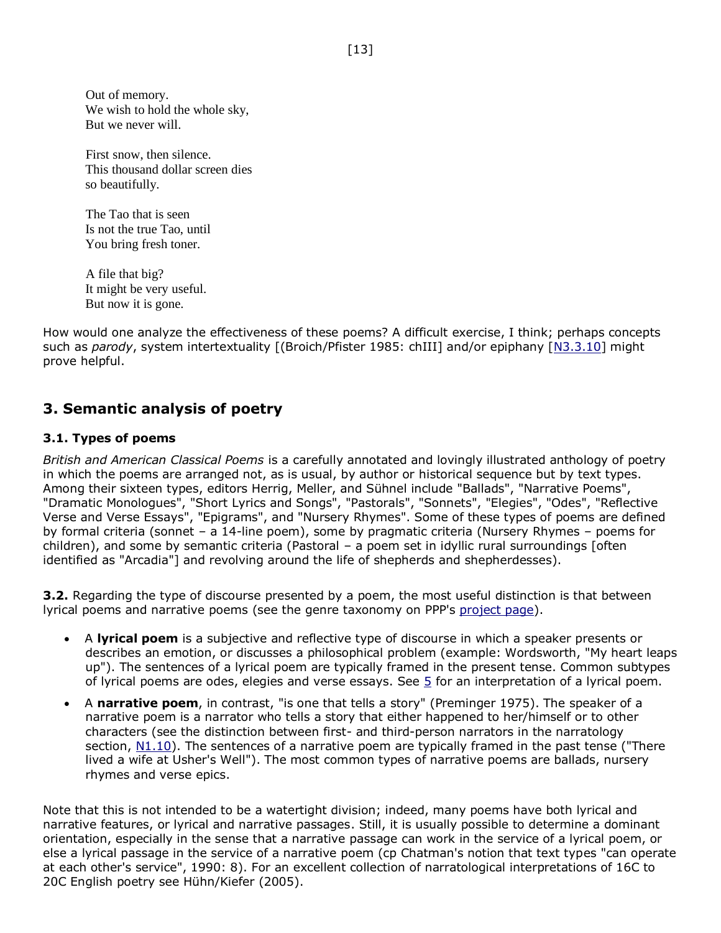Out of memory. We wish to hold the whole sky, But we never will.

First snow, then silence. This thousand dollar screen dies so beautifully.

The Tao that is seen Is not the true Tao, until You bring fresh toner.

A file that big? It might be very useful. But now it is gone.

How would one analyze the effectiveness of these poems? A difficult exercise, I think; perhaps concepts such as *parody*, system intertextuality [(Broich/Pfister 1985: chIII] and/or epiphany [\[N3.3.10\]](file:///D:/bBO/Public_html%20Backup/pppn.pdf%23page=54) might prove helpful.

# <span id="page-12-0"></span>**3. Semantic analysis of poetry**

### **3.1. Types of poems**

*British and American Classical Poems* is a carefully annotated and lovingly illustrated anthology of poetry in which the poems are arranged not, as is usual, by author or historical sequence but by text types. Among their sixteen types, editors Herrig, Meller, and Sühnel include "Ballads", "Narrative Poems", "Dramatic Monologues", "Short Lyrics and Songs", "Pastorals", "Sonnets", "Elegies", "Odes", "Reflective Verse and Verse Essays", "Epigrams", and "Nursery Rhymes". Some of these types of poems are defined by formal criteria (sonnet – a 14-line poem), some by pragmatic criteria (Nursery Rhymes – poems for children), and some by semantic criteria (Pastoral – a poem set in idyllic rural surroundings [often identified as "Arcadia"] and revolving around the life of shepherds and shepherdesses).

<span id="page-12-1"></span>**3.2.** Regarding the type of discourse presented by a poem, the most useful distinction is that between lyrical poems and narrative poems (see the genre taxonomy on PPP's [project page\)](http://www.uni-koeln.de/~ame02/ppp.htm).

- A **lyrical poem** is a subjective and reflective type of discourse in which a speaker presents or describes an emotion, or discusses a philosophical problem (example: Wordsworth, "My heart leaps up"). The sentences of a lyrical poem are typically framed in the present tense. Common subtypes of lyrical poems are odes, elegies and verse essays. See [5](#page-25-0) for an interpretation of a lyrical poem.
- A **narrative poem**, in contrast, "is one that tells a story" (Preminger 1975). The speaker of a narrative poem is a narrator who tells a story that either happened to her/himself or to other characters (see the distinction between first- and third-person narrators in the narratology section, [N1.10\)](http://www.uni-koeln.de/~ame02/pppn.pdf#page=5). The sentences of a narrative poem are typically framed in the past tense ("There lived a wife at Usher's Well"). The most common types of narrative poems are ballads, nursery rhymes and verse epics.

Note that this is not intended to be a watertight division; indeed, many poems have both lyrical and narrative features, or lyrical and narrative passages. Still, it is usually possible to determine a dominant orientation, especially in the sense that a narrative passage can work in the service of a lyrical poem, or else a lyrical passage in the service of a narrative poem (cp Chatman's notion that text types "can operate at each other's service", 1990: 8). For an excellent collection of narratological interpretations of 16C to 20C English poetry see Hühn/Kiefer (2005).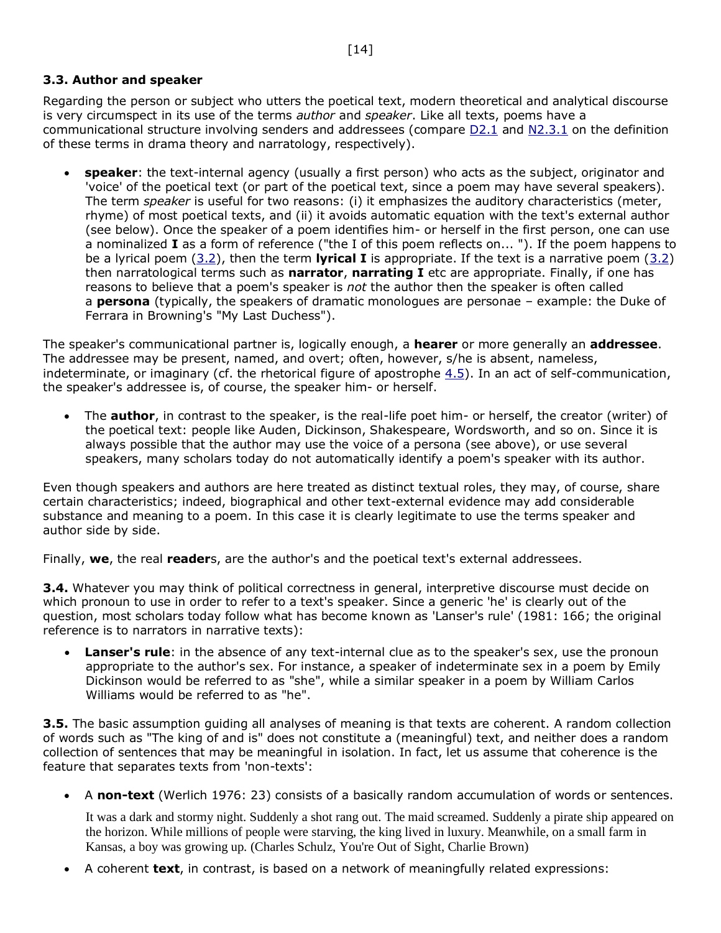### **3.3. Author and speaker**

Regarding the person or subject who utters the poetical text, modern theoretical and analytical discourse is very circumspect in its use of the terms *author* and *speaker*. Like all texts, poems have a communicational structure involving senders and addressees (compare [D2.1](http://www.uni-koeln.de/~ame02/pppd.pdf#page=5) and [N2.3.1](http://www.uni-koeln.de/~ame02/pppn.pdf#page=22) on the definition of these terms in drama theory and narratology, respectively).

• **speaker**: the text-internal agency (usually a first person) who acts as the subject, originator and 'voice' of the poetical text (or part of the poetical text, since a poem may have several speakers). The term *speaker* is useful for two reasons: (i) it emphasizes the auditory characteristics (meter, rhyme) of most poetical texts, and (ii) it avoids automatic equation with the text's external author (see below). Once the speaker of a poem identifies him- or herself in the first person, one can use a nominalized **I** as a form of reference ("the I of this poem reflects on... "). If the poem happens to be a lyrical poem [\(3.2\)](#page-12-1), then the term **lyrical I** is appropriate. If the text is a narrative poem [\(3.2\)](#page-12-1) then narratological terms such as **narrator**, **narrating I** etc are appropriate. Finally, if one has reasons to believe that a poem's speaker is *not* the author then the speaker is often called a **persona** (typically, the speakers of dramatic monologues are personae – example: the Duke of Ferrara in Browning's "My Last Duchess").

The speaker's communicational partner is, logically enough, a **hearer** or more generally an **addressee**. The addressee may be present, named, and overt; often, however, s/he is absent, nameless, indeterminate, or imaginary (cf. the rhetorical figure of apostrophe [4.5\)](#page-24-0). In an act of self-communication, the speaker's addressee is, of course, the speaker him- or herself.

• The **author**, in contrast to the speaker, is the real-life poet him- or herself, the creator (writer) of the poetical text: people like Auden, Dickinson, Shakespeare, Wordsworth, and so on. Since it is always possible that the author may use the voice of a persona (see above), or use several speakers, many scholars today do not automatically identify a poem's speaker with its author.

Even though speakers and authors are here treated as distinct textual roles, they may, of course, share certain characteristics; indeed, biographical and other text-external evidence may add considerable substance and meaning to a poem. In this case it is clearly legitimate to use the terms speaker and author side by side.

Finally, **we**, the real **reader**s, are the author's and the poetical text's external addressees.

**3.4.** Whatever you may think of political correctness in general, interpretive discourse must decide on which pronoun to use in order to refer to a text's speaker. Since a generic 'he' is clearly out of the question, most scholars today follow what has become known as 'Lanser's rule' (1981: 166; the original reference is to narrators in narrative texts):

**Lanser's rule**: in the absence of any text-internal clue as to the speaker's sex, use the pronoun appropriate to the author's sex. For instance, a speaker of indeterminate sex in a poem by Emily Dickinson would be referred to as "she", while a similar speaker in a poem by William Carlos Williams would be referred to as "he".

<span id="page-13-0"></span>**3.5.** The basic assumption guiding all analyses of meaning is that texts are coherent. A random collection of words such as "The king of and is" does not constitute a (meaningful) text, and neither does a random collection of sentences that may be meaningful in isolation. In fact, let us assume that coherence is the feature that separates texts from 'non-texts':

• A **non-text** (Werlich 1976: 23) consists of a basically random accumulation of words or sentences.

It was a dark and stormy night. Suddenly a shot rang out. The maid screamed. Suddenly a pirate ship appeared on the horizon. While millions of people were starving, the king lived in luxury. Meanwhile, on a small farm in Kansas, a boy was growing up. (Charles Schulz, You're Out of Sight, Charlie Brown)

• A coherent **text**, in contrast, is based on a network of meaningfully related expressions: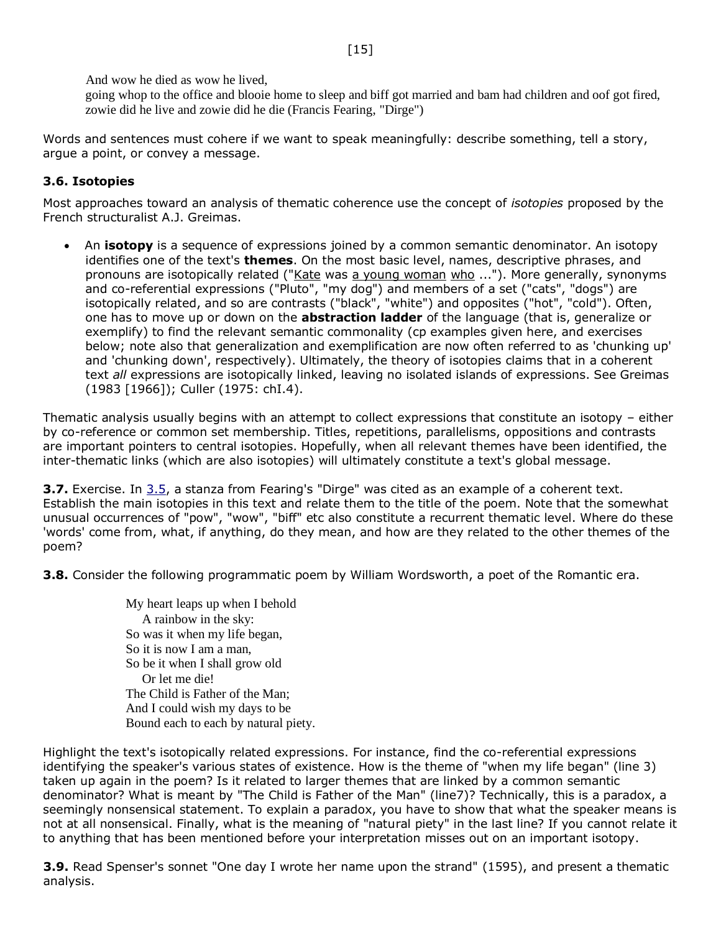And wow he died as wow he lived,

going whop to the office and blooie home to sleep and biff got married and bam had children and oof got fired, zowie did he live and zowie did he die (Francis Fearing, "Dirge")

Words and sentences must cohere if we want to speak meaningfully: describe something, tell a story, argue a point, or convey a message.

## **3.6. Isotopies**

Most approaches toward an analysis of thematic coherence use the concept of *isotopies* proposed by the French structuralist A.J. Greimas.

• An **isotopy** is a sequence of expressions joined by a common semantic denominator. An isotopy identifies one of the text's **themes**. On the most basic level, names, descriptive phrases, and pronouns are isotopically related ("Kate was a young woman who ..."). More generally, synonyms and co-referential expressions ("Pluto", "my dog") and members of a set ("cats", "dogs") are isotopically related, and so are contrasts ("black", "white") and opposites ("hot", "cold"). Often, one has to move up or down on the **abstraction ladder** of the language (that is, generalize or exemplify) to find the relevant semantic commonality (cp examples given here, and exercises below; note also that generalization and exemplification are now often referred to as 'chunking up' and 'chunking down', respectively). Ultimately, the theory of isotopies claims that in a coherent text *all* expressions are isotopically linked, leaving no isolated islands of expressions. See Greimas (1983 [1966]); Culler (1975: chI.4).

Thematic analysis usually begins with an attempt to collect expressions that constitute an isotopy – either by co-reference or common set membership. Titles, repetitions, parallelisms, oppositions and contrasts are important pointers to central isotopies. Hopefully, when all relevant themes have been identified, the inter-thematic links (which are also isotopies) will ultimately constitute a text's global message.

**3.7.** Exercise. In [3.5,](#page-13-0) a stanza from Fearing's "Dirge" was cited as an example of a coherent text. Establish the main isotopies in this text and relate them to the title of the poem. Note that the somewhat unusual occurrences of "pow", "wow", "biff" etc also constitute a recurrent thematic level. Where do these 'words' come from, what, if anything, do they mean, and how are they related to the other themes of the poem?

<span id="page-14-0"></span>**3.8.** Consider the following programmatic poem by William Wordsworth, a poet of the Romantic era.

My heart leaps up when I behold A rainbow in the sky: So was it when my life began, So it is now I am a man, So be it when I shall grow old Or let me die! The Child is Father of the Man; And I could wish my days to be Bound each to each by natural piety.

Highlight the text's isotopically related expressions. For instance, find the co-referential expressions identifying the speaker's various states of existence. How is the theme of "when my life began" (line 3) taken up again in the poem? Is it related to larger themes that are linked by a common semantic denominator? What is meant by "The Child is Father of the Man" (line7)? Technically, this is a paradox, a seemingly nonsensical statement. To explain a paradox, you have to show that what the speaker means is not at all nonsensical. Finally, what is the meaning of "natural piety" in the last line? If you cannot relate it to anything that has been mentioned before your interpretation misses out on an important isotopy.

**3.9.** Read Spenser's sonnet "One day I wrote her name upon the strand" (1595), and present a thematic analysis.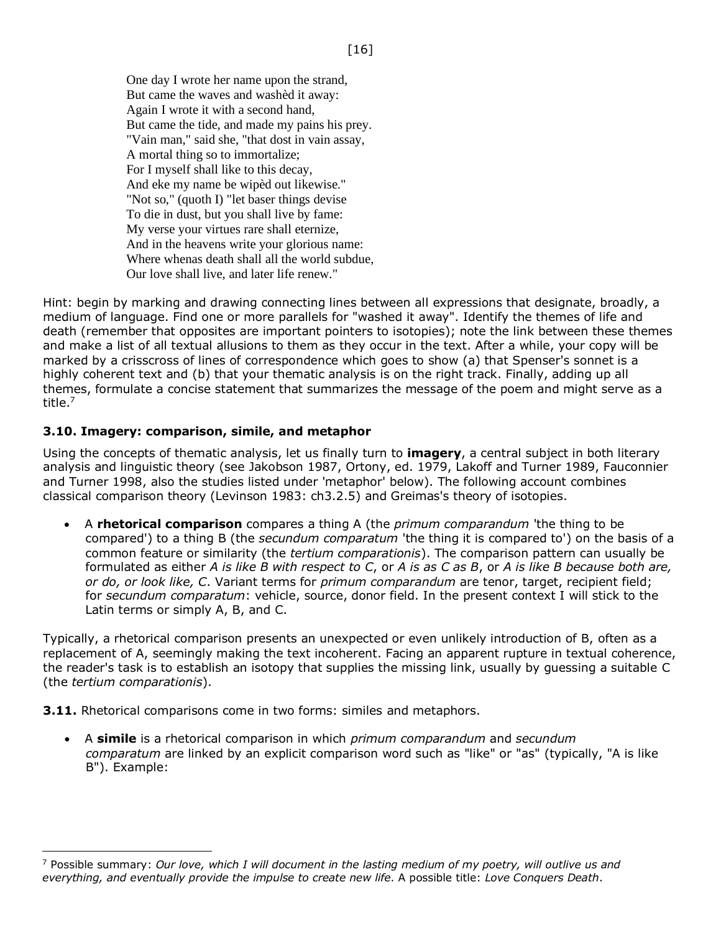One day I wrote her name upon the strand, But came the waves and washèd it away: Again I wrote it with a second hand, But came the tide, and made my pains his prey. "Vain man," said she, "that dost in vain assay, A mortal thing so to immortalize; For I myself shall like to this decay, And eke my name be wipèd out likewise." "Not so," (quoth I) "let baser things devise To die in dust, but you shall live by fame: My verse your virtues rare shall eternize, And in the heavens write your glorious name: Where whenas death shall all the world subdue, Our love shall live, and later life renew."

Hint: begin by marking and drawing connecting lines between all expressions that designate, broadly, a medium of language. Find one or more parallels for "washed it away". Identify the themes of life and death (remember that opposites are important pointers to isotopies); note the link between these themes and make a list of all textual allusions to them as they occur in the text. After a while, your copy will be marked by a crisscross of lines of correspondence which goes to show (a) that Spenser's sonnet is a highly coherent text and (b) that your thematic analysis is on the right track. Finally, adding up all themes, formulate a concise statement that summarizes the message of the poem and might serve as a title.<sup>7</sup>

## **3.10. Imagery: comparison, simile, and metaphor**

Using the concepts of thematic analysis, let us finally turn to **imagery**, a central subject in both literary analysis and linguistic theory (see Jakobson 1987, Ortony, ed. 1979, Lakoff and Turner 1989, Fauconnier and Turner 1998, also the studies listed under 'metaphor' below). The following account combines classical comparison theory (Levinson 1983: ch3.2.5) and Greimas's theory of isotopies.

• A **rhetorical comparison** compares a thing A (the *primum comparandum* 'the thing to be compared') to a thing B (the *secundum comparatum* 'the thing it is compared to') on the basis of a common feature or similarity (the *tertium comparationis*). The comparison pattern can usually be formulated as either *A is like B with respect to C*, or *A is as C as B*, or *A is like B because both are, or do, or look like, C*. Variant terms for *primum comparandum* are tenor, target, recipient field; for *secundum comparatum*: vehicle, source, donor field. In the present context I will stick to the Latin terms or simply A, B, and C.

Typically, a rhetorical comparison presents an unexpected or even unlikely introduction of B, often as a replacement of A, seemingly making the text incoherent. Facing an apparent rupture in textual coherence, the reader's task is to establish an isotopy that supplies the missing link, usually by guessing a suitable C (the *tertium comparationis*).

**3.11.** Rhetorical comparisons come in two forms: similes and metaphors.

<span id="page-15-0"></span>• A **simile** is a rhetorical comparison in which *primum comparandum* and *secundum comparatum* are linked by an explicit comparison word such as "like" or "as" (typically, "A is like B"). Example:

<sup>7</sup> Possible summary: *Our love, which I will document in the lasting medium of my poetry, will outlive us and everything, and eventually provide the impulse to create new life*. A possible title: *Love Conquers Death*.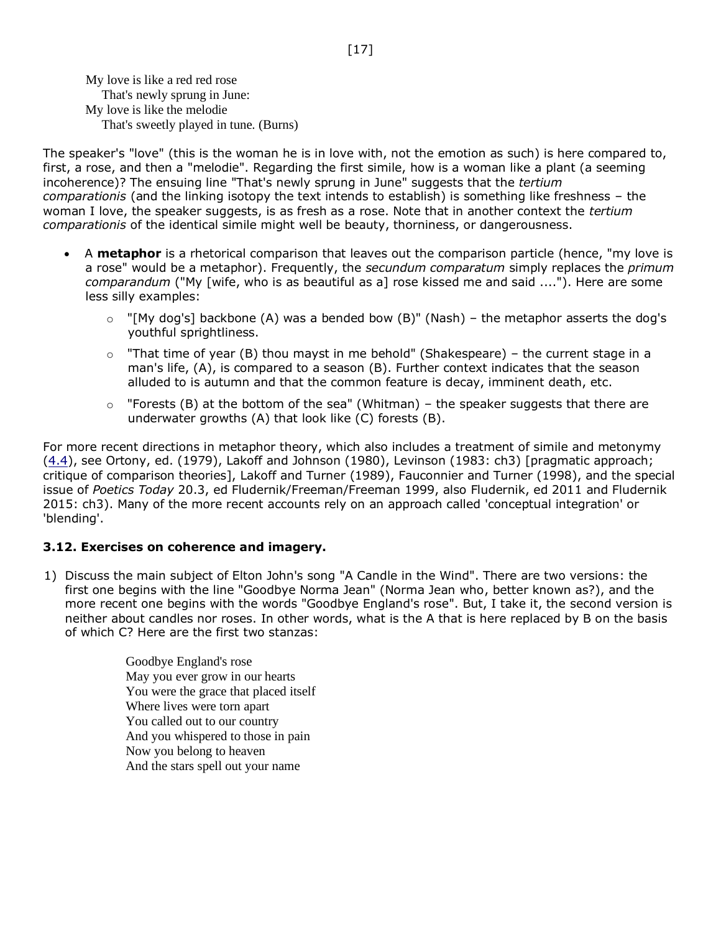My love is like a red red rose That's newly sprung in June: My love is like the melodie That's sweetly played in tune. (Burns)

The speaker's "love" (this is the woman he is in love with, not the emotion as such) is here compared to, first, a rose, and then a "melodie". Regarding the first simile, how is a woman like a plant (a seeming incoherence)? The ensuing line "That's newly sprung in June" suggests that the *tertium comparationis* (and the linking isotopy the text intends to establish) is something like freshness – the woman I love, the speaker suggests, is as fresh as a rose. Note that in another context the *tertium comparationis* of the identical simile might well be beauty, thorniness, or dangerousness.

- A **metaphor** is a rhetorical comparison that leaves out the comparison particle (hence, "my love is a rose" would be a metaphor). Frequently, the *secundum comparatum* simply replaces the *primum comparandum* ("My [wife, who is as beautiful as a] rose kissed me and said ...."). Here are some less silly examples:
	- $\circ$  "[My dog's] backbone (A) was a bended bow (B)" (Nash) the metaphor asserts the dog's youthful sprightliness.
	- $\circ$  "That time of year (B) thou mayst in me behold" (Shakespeare) the current stage in a man's life, (A), is compared to a season (B). Further context indicates that the season alluded to is autumn and that the common feature is decay, imminent death, etc.
	- $\circ$  "Forests (B) at the bottom of the sea" (Whitman) the speaker suggests that there are underwater growths (A) that look like (C) forests (B).

For more recent directions in metaphor theory, which also includes a treatment of simile and metonymy [\(4.4\)](#page-22-0), see Ortony, ed. (1979), Lakoff and Johnson (1980), Levinson (1983: ch3) [pragmatic approach; critique of comparison theories], Lakoff and Turner (1989), Fauconnier and Turner (1998), and the special issue of *Poetics Today* 20.3, ed Fludernik/Freeman/Freeman 1999, also Fludernik, ed 2011 and Fludernik 2015: ch3). Many of the more recent accounts rely on an approach called 'conceptual integration' or 'blending'.

### **3.12. Exercises on coherence and imagery.**

1) Discuss the main subject of Elton John's song "A Candle in the Wind". There are two versions: the first one begins with the line "Goodbye Norma Jean" (Norma Jean who, better known as?), and the more recent one begins with the words "Goodbye England's rose". But, I take it, the second version is neither about candles nor roses. In other words, what is the A that is here replaced by B on the basis of which C? Here are the first two stanzas:

> Goodbye England's rose May you ever grow in our hearts You were the grace that placed itself Where lives were torn apart You called out to our country And you whispered to those in pain Now you belong to heaven And the stars spell out your name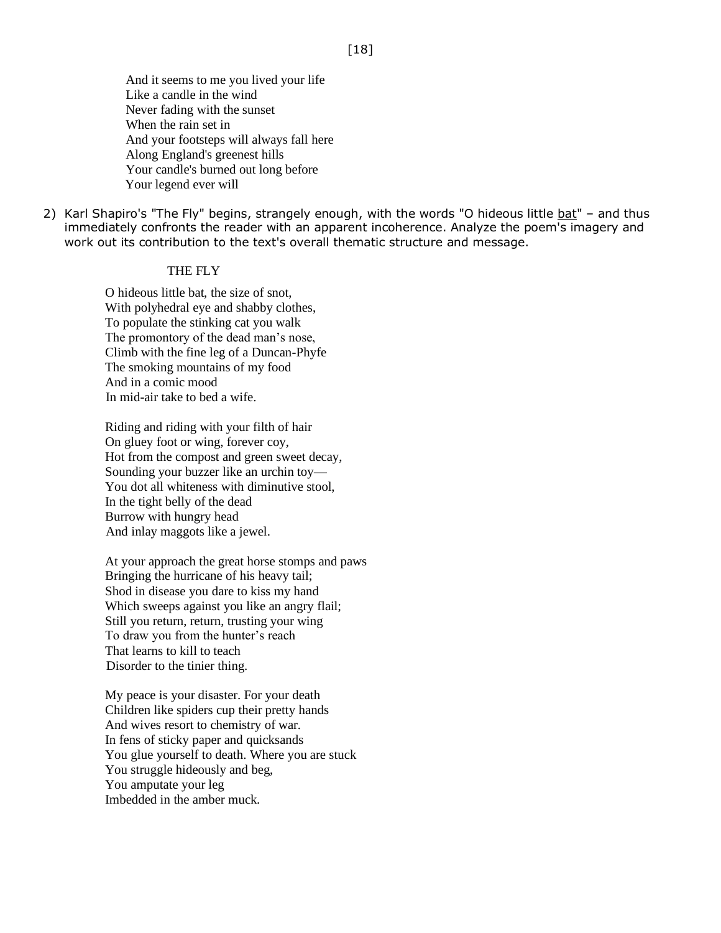And it seems to me you lived your life Like a candle in the wind Never fading with the sunset When the rain set in And your footsteps will always fall here Along England's greenest hills Your candle's burned out long before Your legend ever will

2) Karl Shapiro's "The Fly" begins, strangely enough, with the words "O hideous little bat" - and thus immediately confronts the reader with an apparent incoherence. Analyze the poem's imagery and work out its contribution to the text's overall thematic structure and message.

#### THE FLY

O hideous little bat, the size of snot, With polyhedral eye and shabby clothes, To populate the stinking cat you walk The promontory of the dead man's nose, Climb with the fine leg of a Duncan-Phyfe The smoking mountains of my food And in a comic mood In mid-air take to bed a wife.

Riding and riding with your filth of hair On gluey foot or wing, forever coy, Hot from the compost and green sweet decay, Sounding your buzzer like an urchin toy— You dot all whiteness with diminutive stool, In the tight belly of the dead Burrow with hungry head And inlay maggots like a jewel.

At your approach the great horse stomps and paws Bringing the hurricane of his heavy tail; Shod in disease you dare to kiss my hand Which sweeps against you like an angry flail; Still you return, return, trusting your wing To draw you from the hunter's reach That learns to kill to teach Disorder to the tinier thing.

My peace is your disaster. For your death Children like spiders cup their pretty hands And wives resort to chemistry of war. In fens of sticky paper and quicksands You glue yourself to death. Where you are stuck You struggle hideously and beg, You amputate your leg Imbedded in the amber muck.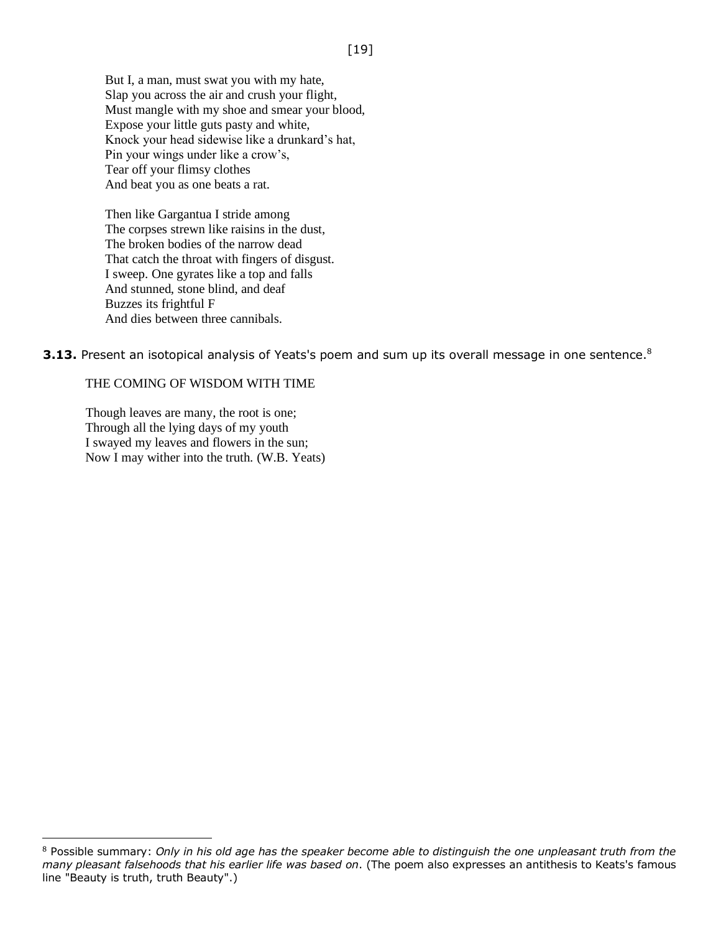[19]

But I, a man, must swat you with my hate, Slap you across the air and crush your flight, Must mangle with my shoe and smear your blood, Expose your little guts pasty and white, Knock your head sidewise like a drunkard's hat, Pin your wings under like a crow's, Tear off your flimsy clothes And beat you as one beats a rat.

Then like Gargantua I stride among The corpses strewn like raisins in the dust, The broken bodies of the narrow dead That catch the throat with fingers of disgust. I sweep. One gyrates like a top and falls And stunned, stone blind, and deaf Buzzes its frightful F And dies between three cannibals.

**3.13.** Present an isotopical analysis of Yeats's poem and sum up its overall message in one sentence.<sup>8</sup>

#### THE COMING OF WISDOM WITH TIME

Though leaves are many, the root is one; Through all the lying days of my youth I swayed my leaves and flowers in the sun; Now I may wither into the truth. (W.B. Yeats)

<sup>8</sup> Possible summary: *Only in his old age has the speaker become able to distinguish the one unpleasant truth from the many pleasant falsehoods that his earlier life was based on*. (The poem also expresses an antithesis to Keats's famous line "Beauty is truth, truth Beauty".)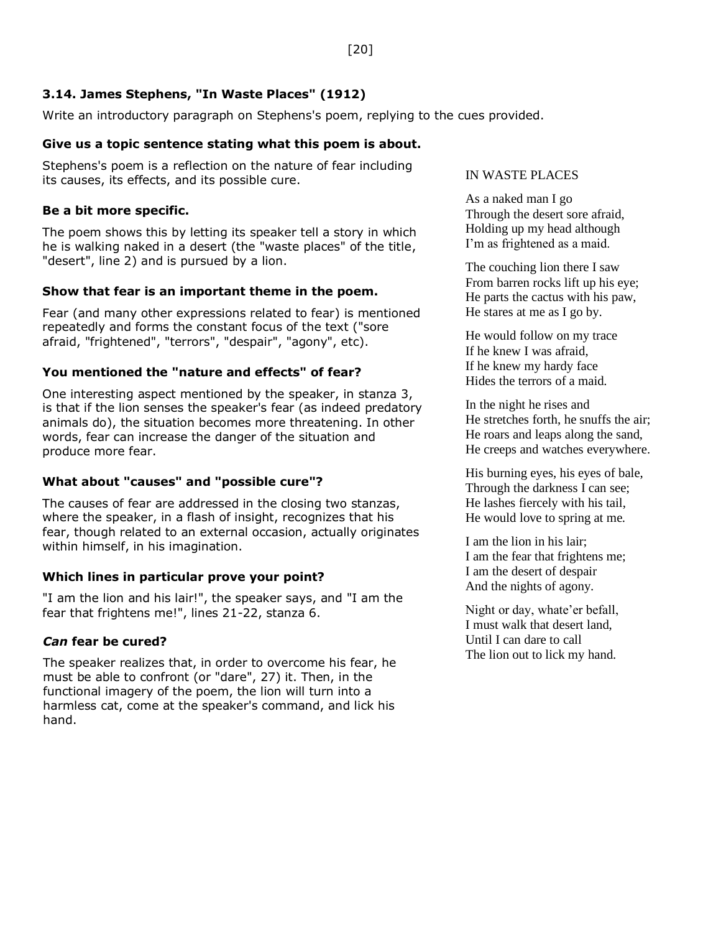## **3.14. James Stephens, "In Waste Places" (1912)**

Write an introductory paragraph on Stephens's poem, replying to the cues provided.

## **Give us a topic sentence stating what this poem is about.**

Stephens's poem is a reflection on the nature of fear including its causes, its effects, and its possible cure.

## **Be a bit more specific.**

The poem shows this by letting its speaker tell a story in which he is walking naked in a desert (the "waste places" of the title, "desert", line 2) and is pursued by a lion.

## **Show that fear is an important theme in the poem.**

Fear (and many other expressions related to fear) is mentioned repeatedly and forms the constant focus of the text ("sore afraid, "frightened", "terrors", "despair", "agony", etc).

## **You mentioned the "nature and effects" of fear?**

One interesting aspect mentioned by the speaker, in stanza 3, is that if the lion senses the speaker's fear (as indeed predatory animals do), the situation becomes more threatening. In other words, fear can increase the danger of the situation and produce more fear.

## **What about "causes" and "possible cure"?**

The causes of fear are addressed in the closing two stanzas, where the speaker, in a flash of insight, recognizes that his fear, though related to an external occasion, actually originates within himself, in his imagination.

## **Which lines in particular prove your point?**

"I am the lion and his lair!", the speaker says, and "I am the fear that frightens me!", lines 21-22, stanza 6.

## *Can* **fear be cured?**

The speaker realizes that, in order to overcome his fear, he must be able to confront (or "dare", 27) it. Then, in the functional imagery of the poem, the lion will turn into a harmless cat, come at the speaker's command, and lick his hand.

## IN WASTE PLACES

As a naked man I go Through the desert sore afraid, Holding up my head although I'm as frightened as a maid.

The couching lion there I saw From barren rocks lift up his eye; He parts the cactus with his paw, He stares at me as I go by.

He would follow on my trace If he knew I was afraid, If he knew my hardy face Hides the terrors of a maid.

In the night he rises and He stretches forth, he snuffs the air; He roars and leaps along the sand, He creeps and watches everywhere.

His burning eyes, his eyes of bale, Through the darkness I can see; He lashes fiercely with his tail, He would love to spring at me.

I am the lion in his lair; I am the fear that frightens me; I am the desert of despair And the nights of agony.

Night or day, whate'er befall, I must walk that desert land, Until I can dare to call The lion out to lick my hand.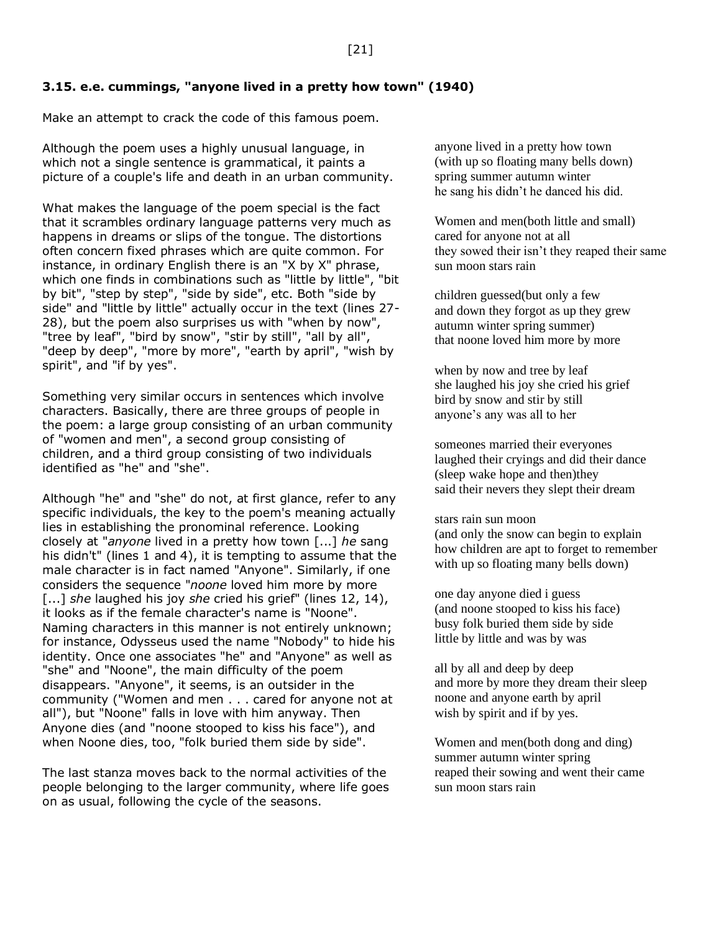#### **3.15. e.e. cummings, "anyone lived in a pretty how town" (1940)**

Make an attempt to crack the code of this famous poem.

Although the poem uses a highly unusual language, in which not a single sentence is grammatical, it paints a picture of a couple's life and death in an urban community.

What makes the language of the poem special is the fact that it scrambles ordinary language patterns very much as happens in dreams or slips of the tongue. The distortions often concern fixed phrases which are quite common. For instance, in ordinary English there is an "X by X" phrase, which one finds in combinations such as "little by little", "bit by bit", "step by step", "side by side", etc. Both "side by side" and "little by little" actually occur in the text (lines 27- 28), but the poem also surprises us with "when by now", "tree by leaf", "bird by snow", "stir by still", "all by all", "deep by deep", "more by more", "earth by april", "wish by spirit", and "if by yes".

Something very similar occurs in sentences which involve characters. Basically, there are three groups of people in the poem: a large group consisting of an urban community of "women and men", a second group consisting of children, and a third group consisting of two individuals identified as "he" and "she".

Although "he" and "she" do not, at first glance, refer to any specific individuals, the key to the poem's meaning actually lies in establishing the pronominal reference. Looking closely at "*anyone* lived in a pretty how town [...] *he* sang his didn't" (lines 1 and 4), it is tempting to assume that the male character is in fact named "Anyone". Similarly, if one considers the sequence "*noone* loved him more by more [...] *she* laughed his joy *she* cried his grief" (lines 12, 14), it looks as if the female character's name is "Noone". Naming characters in this manner is not entirely unknown; for instance, Odysseus used the name "Nobody" to hide his identity. Once one associates "he" and "Anyone" as well as "she" and "Noone", the main difficulty of the poem disappears. "Anyone", it seems, is an outsider in the community ("Women and men . . . cared for anyone not at all"), but "Noone" falls in love with him anyway. Then Anyone dies (and "noone stooped to kiss his face"), and when Noone dies, too, "folk buried them side by side".

The last stanza moves back to the normal activities of the people belonging to the larger community, where life goes on as usual, following the cycle of the seasons.

anyone lived in a pretty how town (with up so floating many bells down) spring summer autumn winter he sang his didn't he danced his did.

Women and men(both little and small) cared for anyone not at all they sowed their isn't they reaped their same sun moon stars rain

children guessed(but only a few and down they forgot as up they grew autumn winter spring summer) that noone loved him more by more

when by now and tree by leaf she laughed his joy she cried his grief bird by snow and stir by still anyone's any was all to her

someones married their everyones laughed their cryings and did their dance (sleep wake hope and then)they said their nevers they slept their dream

#### stars rain sun moon

(and only the snow can begin to explain how children are apt to forget to remember with up so floating many bells down)

one day anyone died i guess (and noone stooped to kiss his face) busy folk buried them side by side little by little and was by was

all by all and deep by deep and more by more they dream their sleep noone and anyone earth by april wish by spirit and if by yes.

Women and men(both dong and ding) summer autumn winter spring reaped their sowing and went their came sun moon stars rain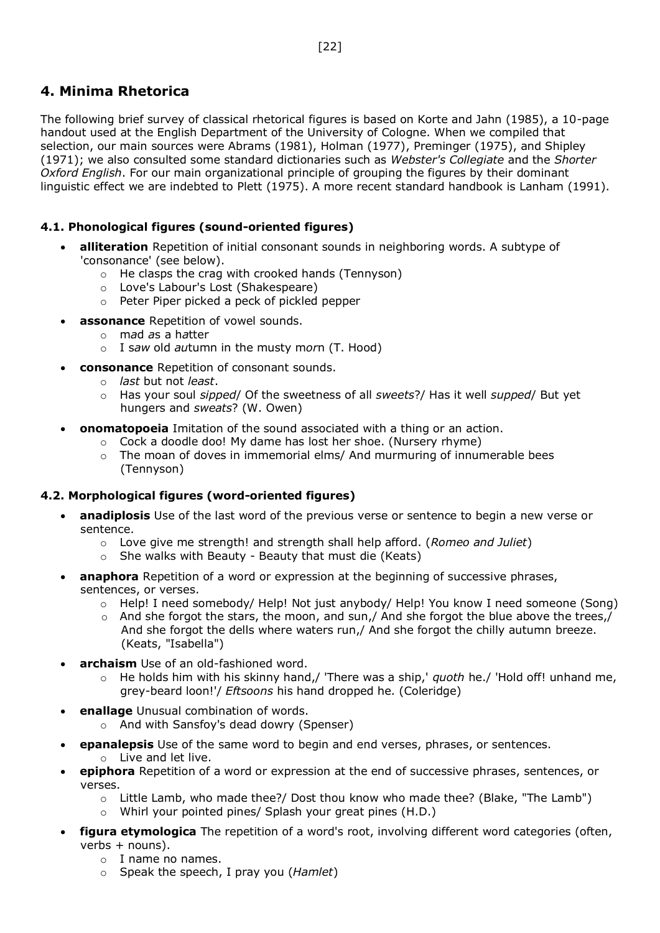## **4. Minima Rhetorica**

The following brief survey of classical rhetorical figures is based on Korte and Jahn (1985), a 10-page handout used at the English Department of the University of Cologne. When we compiled that selection, our main sources were Abrams (1981), Holman (1977), Preminger (1975), and Shipley (1971); we also consulted some standard dictionaries such as *Webster's Collegiate* and the *Shorter Oxford English*. For our main organizational principle of grouping the figures by their dominant linguistic effect we are indebted to Plett (1975). A more recent standard handbook is Lanham (1991).

## **4.1. Phonological figures (sound-oriented figures)**

- **alliteration** Repetition of initial consonant sounds in neighboring words. A subtype of 'consonance' (see below).
	- o He clasps the crag with crooked hands (Tennyson)
	- o Love's Labour's Lost (Shakespeare)
	- o Peter Piper picked a peck of pickled pepper
- **assonance** Repetition of vowel sounds.
	- o m*a*d *a*s a h*a*tter
	- o I s*aw* old *au*tumn in the musty m*or*n (T. Hood)
- **consonance** Repetition of consonant sounds.
	- o *last* but not *least*.
		- o Has your soul *sipped*/ Of the sweetness of all *sweets*?/ Has it well *supped*/ But yet hungers and *sweats*? (W. Owen)
- **onomatopoeia** Imitation of the sound associated with a thing or an action.
	- o Cock a doodle doo! My dame has lost her shoe. (Nursery rhyme)
	- $\circ$  The moan of doves in immemorial elms/ And murmuring of innumerable bees (Tennyson)

## **4.2. Morphological figures (word-oriented figures)**

- **anadiplosis** Use of the last word of the previous verse or sentence to begin a new verse or sentence.
	- o Love give me strength! and strength shall help afford. (*Romeo and Juliet*)
		- $\circ$  She walks with Beauty Beauty that must die (Keats)
- **anaphora** Repetition of a word or expression at the beginning of successive phrases, sentences, or verses.
	- o Help! I need somebody/ Help! Not just anybody/ Help! You know I need someone (Song)
	- $\circ$  And she forgot the stars, the moon, and sun, And she forgot the blue above the trees, And she forgot the dells where waters run,/ And she forgot the chilly autumn breeze. (Keats, "Isabella")
- **archaism** Use of an old-fashioned word.
	- o He holds him with his skinny hand,/ 'There was a ship,' *quoth* he./ 'Hold off! unhand me, grey-beard loon!'/ *Eftsoons* his hand dropped he. (Coleridge)
- **enallage** Unusual combination of words.
	- o And with Sansfoy's dead dowry (Spenser)
- **epanalepsis** Use of the same word to begin and end verses, phrases, or sentences. o Live and let live.
- **epiphora** Repetition of a word or expression at the end of successive phrases, sentences, or verses.
	- o Little Lamb, who made thee?/ Dost thou know who made thee? (Blake, "The Lamb")
	- o Whirl your pointed pines/ Splash your great pines (H.D.)
- **figura etymologica** The repetition of a word's root, involving different word categories (often, verbs + nouns).
	- o I name no names.
	- o Speak the speech, I pray you (*Hamlet*)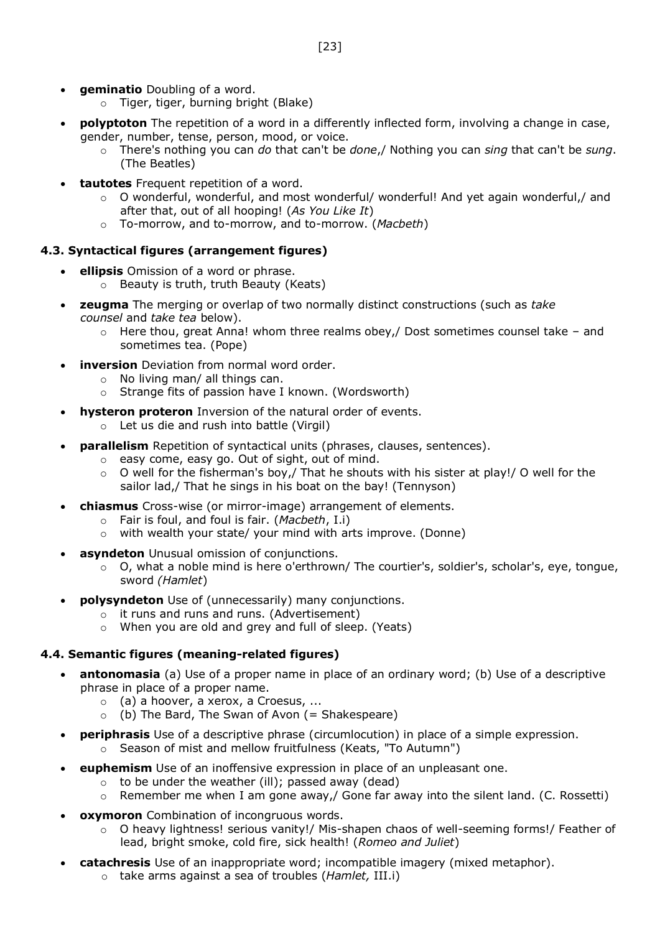- **geminatio** Doubling of a word.
	- o Tiger, tiger, burning bright (Blake)
- **polyptoton** The repetition of a word in a differently inflected form, involving a change in case, gender, number, tense, person, mood, or voice.
	- o There's nothing you can *do* that can't be *done*,/ Nothing you can *sing* that can't be *sung*. (The Beatles)
- **tautotes** Frequent repetition of a word.
	- o O wonderful, wonderful, and most wonderful/ wonderful! And yet again wonderful,/ and after that, out of all hooping! (*As You Like It*)
	- o To-morrow, and to-morrow, and to-morrow. (*Macbeth*)

### **4.3. Syntactical figures (arrangement figures)**

- **ellipsis** Omission of a word or phrase.
	- o Beauty is truth, truth Beauty (Keats)
- **zeugma** The merging or overlap of two normally distinct constructions (such as *take counsel* and *take tea* below).
	- $\circ$  Here thou, great Anna! whom three realms obey, Dost sometimes counsel take and sometimes tea. (Pope)
- **inversion** Deviation from normal word order.
	- o No living man/ all things can.
	- o Strange fits of passion have I known. (Wordsworth)
- **hysteron proteron** Inversion of the natural order of events.
	- o Let us die and rush into battle (Virgil)
- **parallelism** Repetition of syntactical units (phrases, clauses, sentences).
	- o easy come, easy go. Out of sight, out of mind.
	- $\circ$  O well for the fisherman's boy, That he shouts with his sister at play! O well for the sailor lad,/ That he sings in his boat on the bay! (Tennyson)
- **chiasmus** Cross-wise (or mirror-image) arrangement of elements.
	- o Fair is foul, and foul is fair. (*Macbeth*, I.i)
	- o with wealth your state/ your mind with arts improve. (Donne)
- **asyndeton** Unusual omission of conjunctions.
	- o O, what a noble mind is here o'erthrown/ The courtier's, soldier's, scholar's, eye, tongue, sword *(Hamlet*)
- <span id="page-22-0"></span>**polysyndeton** Use of (unnecessarily) many conjunctions.
	- o it runs and runs and runs. (Advertisement)
	- o When you are old and grey and full of sleep. (Yeats)

### **4.4. Semantic figures (meaning-related figures)**

- **antonomasia** (a) Use of a proper name in place of an ordinary word; (b) Use of a descriptive phrase in place of a proper name.
	- $\circ$  (a) a hoover, a xerox, a Croesus, ...
	- $\circ$  (b) The Bard, The Swan of Avon (= Shakespeare)
- **periphrasis** Use of a descriptive phrase (circumlocution) in place of a simple expression.
	- o Season of mist and mellow fruitfulness (Keats, "To Autumn")
- **euphemism** Use of an inoffensive expression in place of an unpleasant one.
	- $\circ$  to be under the weather (ill); passed away (dead)
	- $\circ$  Remember me when I am gone away, Gone far away into the silent land. (C. Rossetti)
- **oxymoron** Combination of incongruous words.
	- o O heavy lightness! serious vanity!/ Mis-shapen chaos of well-seeming forms!/ Feather of lead, bright smoke, cold fire, sick health! (*Romeo and Juliet*)
- **catachresis** Use of an inappropriate word; incompatible imagery (mixed metaphor).
	- o take arms against a sea of troubles (*Hamlet,* III.i)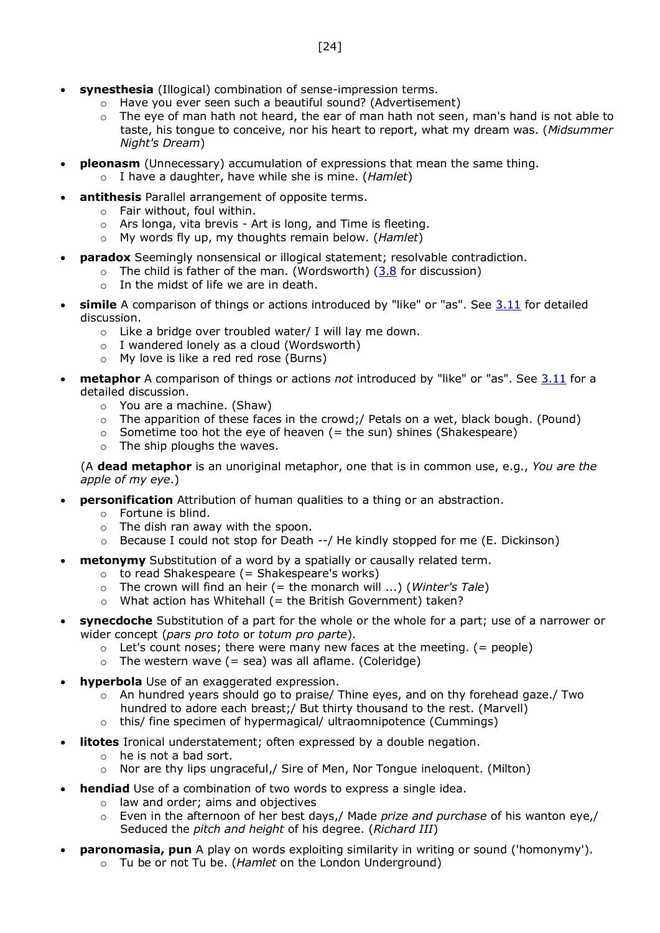- **synesthesia** (Illogical) combination of sense-impression terms.
	- o Have you ever seen such a beautiful sound? (Advertisement)
	- $\circ$  The eye of man hath not heard, the ear of man hath not seen, man's hand is not able to taste, his tongue to conceive, nor his heart to report, what my dream was. (*Midsummer Night's Dream*)
- **pleonasm** (Unnecessary) accumulation of expressions that mean the same thing.
	- o I have a daughter, have while she is mine. (*Hamlet*)
- **antithesis** Parallel arrangement of opposite terms.
	- o Fair without, foul within.
	- o Ars longa, vita brevis Art is long, and Time is fleeting.
	- o My words fly up, my thoughts remain below. (*Hamlet*)
- **paradox** Seemingly nonsensical or illogical statement; resolvable contradiction.
	- $\circ$  The child is father of the man. (Wordsworth) [\(3.8](#page-14-0) for discussion)
	- o In the midst of life we are in death.
- **simile** A comparison of things or actions introduced by "like" or "as". See [3.11](#page-15-0) for detailed discussion.
	- o Like a bridge over troubled water/ I will lay me down.
	- o I wandered lonely as a cloud (Wordsworth)
	- o My love is like a red red rose (Burns)
- **metaphor** A comparison of things or actions *not* introduced by "like" or "as". See [3.11](#page-15-0) for a detailed discussion.
	- o You are a machine. (Shaw)
	- $\circ$  The apparition of these faces in the crowd: / Petals on a wet, black bough. (Pound)
	- $\circ$  Sometime too hot the eye of heaven (= the sun) shines (Shakespeare)
	- o The ship ploughs the waves.

(A **dead metaphor** is an unoriginal metaphor, one that is in common use, e.g., *You are the apple of my eye*.)

- **personification** Attribution of human qualities to a thing or an abstraction.
	- o Fortune is blind.
	- o The dish ran away with the spoon.
	- $\circ$  Because I could not stop for Death --/ He kindly stopped for me (E. Dickinson)
	- **metonymy** Substitution of a word by a spatially or causally related term.
		- $\circ$  to read Shakespeare (= Shakespeare's works)
		- o The crown will find an heir (= the monarch will ...) (*Winter's Tale*)
		- $\circ$  What action has Whitehall (= the British Government) taken?
- **synecdoche** Substitution of a part for the whole or the whole for a part; use of a narrower or wider concept (*pars pro toto* or *totum pro parte*).
	- $\circ$  Let's count noses; there were many new faces at the meeting. (= people)
	- $\circ$  The western wave (= sea) was all aflame. (Coleridge)
- **hyperbola** Use of an exaggerated expression.
	- $\circ$  An hundred years should go to praise/ Thine eyes, and on thy forehead gaze./ Two hundred to adore each breast;/ But thirty thousand to the rest. (Marvell)
	- o this/ fine specimen of hypermagical/ ultraomnipotence (Cummings)
- **litotes** Ironical understatement; often expressed by a double negation.
	- o he is not a bad sort.
	- o Nor are thy lips ungraceful,/ Sire of Men, Nor Tongue ineloquent. (Milton)
- **hendiad** Use of a combination of two words to express a single idea.
	- o law and order; aims and objectives
	- o Even in the afternoon of her best days,/ Made *prize and purchase* of his wanton eye,/ Seduced the *pitch and height* of his degree. (*Richard III*)
	- **paronomasia, pun** A play on words exploiting similarity in writing or sound ('homonymy').
		- o Tu be or not Tu be. (*Hamlet* on the London Underground)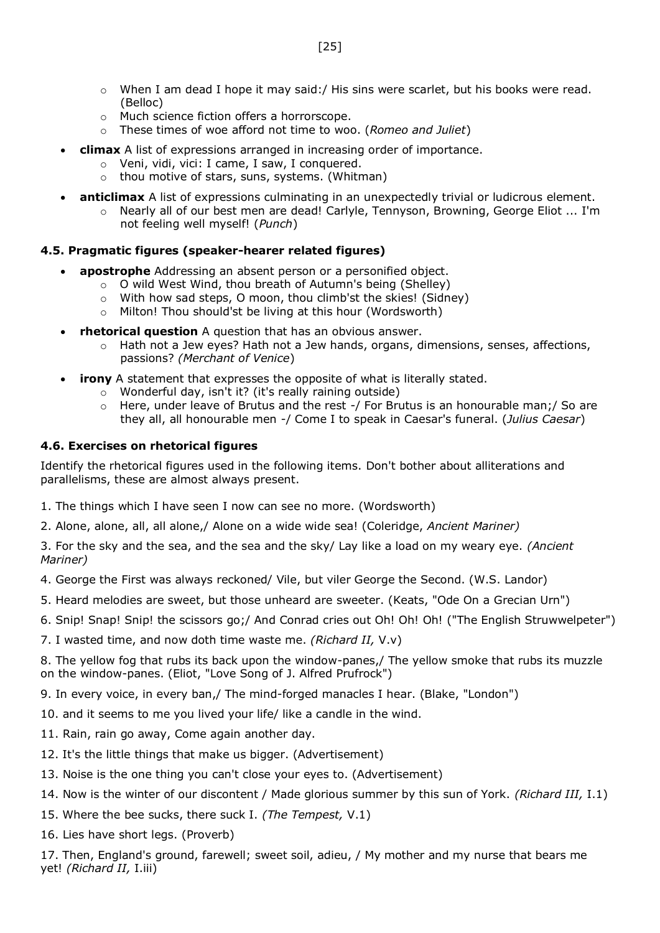- $\circ$  When I am dead I hope it may said:/ His sins were scarlet, but his books were read. (Belloc)
- o Much science fiction offers a horrorscope.
- o These times of woe afford not time to woo. (*Romeo and Juliet*)
- **climax** A list of expressions arranged in increasing order of importance.
	- o Veni, vidi, vici: I came, I saw, I conquered.
	- o thou motive of stars, suns, systems. (Whitman)
- <span id="page-24-0"></span>**anticlimax** A list of expressions culminating in an unexpectedly trivial or ludicrous element.
	- o Nearly all of our best men are dead! Carlyle, Tennyson, Browning, George Eliot ... I'm not feeling well myself! (*Punch*)

#### **4.5. Pragmatic figures (speaker-hearer related figures)**

- **apostrophe** Addressing an absent person or a personified object.
	- o O wild West Wind, thou breath of Autumn's being (Shelley)
	- o With how sad steps, O moon, thou climb'st the skies! (Sidney)
	- o Milton! Thou should'st be living at this hour (Wordsworth)
- **rhetorical question** A question that has an obvious answer.
	- $\circ$  Hath not a Jew eyes? Hath not a Jew hands, organs, dimensions, senses, affections, passions? *(Merchant of Venice*)
- **irony** A statement that expresses the opposite of what is literally stated.
	- o Wonderful day, isn't it? (it's really raining outside)
	- o Here, under leave of Brutus and the rest -/ For Brutus is an honourable man;/ So are they all, all honourable men -/ Come I to speak in Caesar's funeral. (*Julius Caesar*)

#### **4.6. Exercises on rhetorical figures**

Identify the rhetorical figures used in the following items. Don't bother about alliterations and parallelisms, these are almost always present.

- 1. The things which I have seen I now can see no more. (Wordsworth)
- 2. Alone, alone, all, all alone,/ Alone on a wide wide sea! (Coleridge, *Ancient Mariner)*

3. For the sky and the sea, and the sea and the sky/ Lay like a load on my weary eye. *(Ancient Mariner)*

- 4. George the First was always reckoned/ Vile, but viler George the Second. (W.S. Landor)
- 5. Heard melodies are sweet, but those unheard are sweeter. (Keats, "Ode On a Grecian Urn")
- 6. Snip! Snap! Snip! the scissors go;/ And Conrad cries out Oh! Oh! Oh! ("The English Struwwelpeter")
- 7. I wasted time, and now doth time waste me. *(Richard II,* V.v)

8. The yellow fog that rubs its back upon the window-panes,/ The yellow smoke that rubs its muzzle on the window-panes. (Eliot, "Love Song of J. Alfred Prufrock")

9. In every voice, in every ban,/ The mind-forged manacles I hear. (Blake, "London")

- 10. and it seems to me you lived your life/ like a candle in the wind.
- 11. Rain, rain go away, Come again another day.
- 12. It's the little things that make us bigger. (Advertisement)
- 13. Noise is the one thing you can't close your eyes to. (Advertisement)
- 14. Now is the winter of our discontent / Made glorious summer by this sun of York. *(Richard III,* I.1)
- 15. Where the bee sucks, there suck I. *(The Tempest,* V.1)
- 16. Lies have short legs. (Proverb)

17. Then, England's ground, farewell; sweet soil, adieu, / My mother and my nurse that bears me yet! *(Richard II,* I.iii)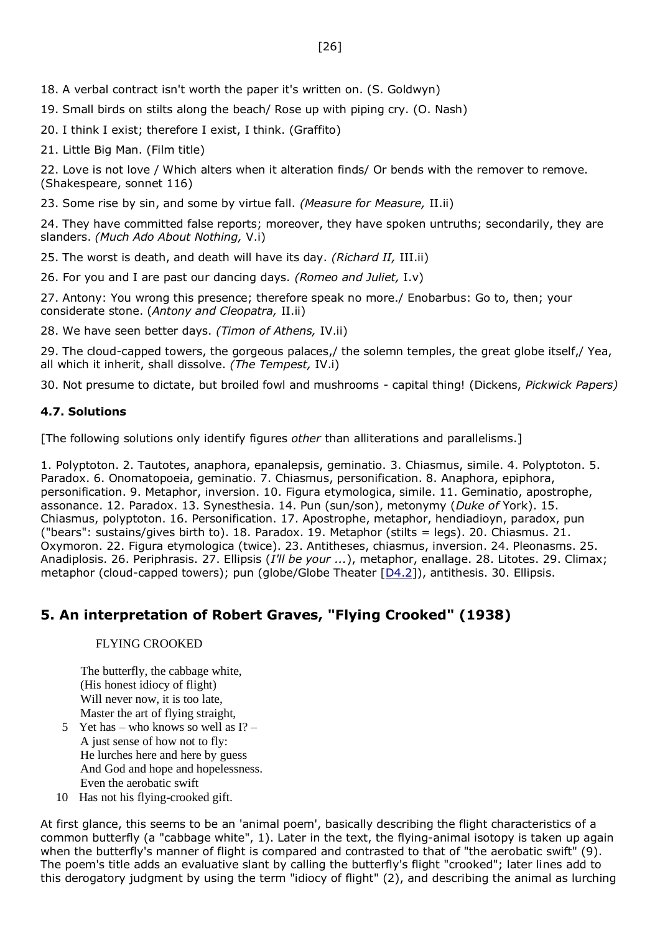[26]

18. A verbal contract isn't worth the paper it's written on. (S. Goldwyn)

19. Small birds on stilts along the beach/ Rose up with piping cry. (O. Nash)

20. I think I exist; therefore I exist, I think. (Graffito)

21. Little Big Man. (Film title)

22. Love is not love / Which alters when it alteration finds/ Or bends with the remover to remove. (Shakespeare, sonnet 116)

23. Some rise by sin, and some by virtue fall. *(Measure for Measure,* II.ii)

24. They have committed false reports; moreover, they have spoken untruths; secondarily, they are slanders. *(Much Ado About Nothing,* V.i)

25. The worst is death, and death will have its day. *(Richard II,* III.ii)

26. For you and I are past our dancing days. *(Romeo and Juliet,* I.v)

27. Antony: You wrong this presence; therefore speak no more./ Enobarbus: Go to, then; your considerate stone. (*Antony and Cleopatra,* II.ii)

28. We have seen better days. *(Timon of Athens,* IV.ii)

29. The cloud-capped towers, the gorgeous palaces,/ the solemn temples, the great globe itself,/ Yea, all which it inherit, shall dissolve. *(The Tempest,* IV.i)

30. Not presume to dictate, but broiled fowl and mushrooms - capital thing! (Dickens, *Pickwick Papers)*

#### **4.7. Solutions**

[The following solutions only identify figures *other* than alliterations and parallelisms.]

1. Polyptoton. 2. Tautotes, anaphora, epanalepsis, geminatio. 3. Chiasmus, simile. 4. Polyptoton. 5. Paradox. 6. Onomatopoeia, geminatio. 7. Chiasmus, personification. 8. Anaphora, epiphora, personification. 9. Metaphor, inversion. 10. Figura etymologica, simile. 11. Geminatio, apostrophe, assonance. 12. Paradox. 13. Synesthesia. 14. Pun (sun/son), metonymy (*Duke of* York). 15. Chiasmus, polyptoton. 16. Personification. 17. Apostrophe, metaphor, hendiadioyn, paradox, pun ("bears": sustains/gives birth to). 18. Paradox. 19. Metaphor (stilts = legs). 20. Chiasmus. 21. Oxymoron. 22. Figura etymologica (twice). 23. Antitheses, chiasmus, inversion. 24. Pleonasms. 25. Anadiplosis. 26. Periphrasis. 27. Ellipsis (*I'll be your ...*), metaphor, enallage. 28. Litotes. 29. Climax; metaphor (cloud-capped towers); pun (globe/Globe Theater [\[D4.2\]](http://www.uni-koeln.de/~ame02/pppd.pdf#page=9)), antithesis. 30. Ellipsis.

## <span id="page-25-0"></span>**5. An interpretation of Robert Graves, "Flying Crooked" (1938)**

#### FLYING CROOKED

The butterfly, the cabbage white, (His honest idiocy of flight) Will never now, it is too late. Master the art of flying straight,

- 5 Yet has who knows so well as I? A just sense of how not to fly: He lurches here and here by guess And God and hope and hopelessness. Even the aerobatic swift
- 10 Has not his flying-crooked gift.

At first glance, this seems to be an 'animal poem', basically describing the flight characteristics of a common butterfly (a "cabbage white", 1). Later in the text, the flying-animal isotopy is taken up again when the butterfly's manner of flight is compared and contrasted to that of "the aerobatic swift" (9). The poem's title adds an evaluative slant by calling the butterfly's flight "crooked"; later lines add to this derogatory judgment by using the term "idiocy of flight" (2), and describing the animal as lurching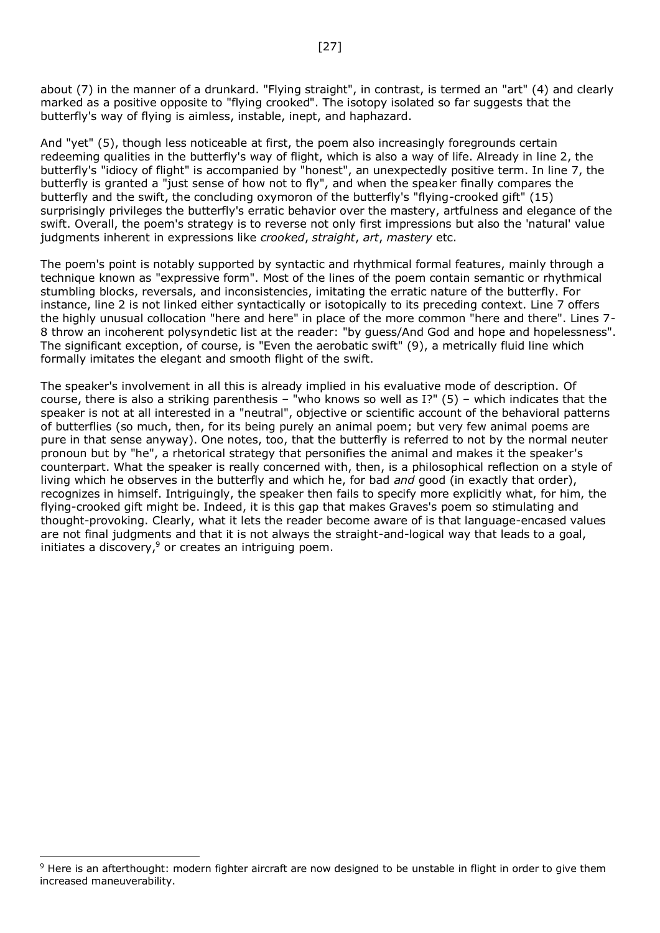about (7) in the manner of a drunkard. "Flying straight", in contrast, is termed an "art" (4) and clearly marked as a positive opposite to "flying crooked". The isotopy isolated so far suggests that the butterfly's way of flying is aimless, instable, inept, and haphazard.

And "yet" (5), though less noticeable at first, the poem also increasingly foregrounds certain redeeming qualities in the butterfly's way of flight, which is also a way of life. Already in line 2, the butterfly's "idiocy of flight" is accompanied by "honest", an unexpectedly positive term. In line 7, the butterfly is granted a "just sense of how not to fly", and when the speaker finally compares the butterfly and the swift, the concluding oxymoron of the butterfly's "flying-crooked gift" (15) surprisingly privileges the butterfly's erratic behavior over the mastery, artfulness and elegance of the swift. Overall, the poem's strategy is to reverse not only first impressions but also the 'natural' value judgments inherent in expressions like *crooked*, *straight*, *art*, *mastery* etc.

The poem's point is notably supported by syntactic and rhythmical formal features, mainly through a technique known as "expressive form". Most of the lines of the poem contain semantic or rhythmical stumbling blocks, reversals, and inconsistencies, imitating the erratic nature of the butterfly. For instance, line 2 is not linked either syntactically or isotopically to its preceding context. Line 7 offers the highly unusual collocation "here and here" in place of the more common "here and there". Lines 7- 8 throw an incoherent polysyndetic list at the reader: "by guess/And God and hope and hopelessness". The significant exception, of course, is "Even the aerobatic swift" (9), a metrically fluid line which formally imitates the elegant and smooth flight of the swift.

The speaker's involvement in all this is already implied in his evaluative mode of description. Of course, there is also a striking parenthesis – "who knows so well as I?" (5) – which indicates that the speaker is not at all interested in a "neutral", objective or scientific account of the behavioral patterns of butterflies (so much, then, for its being purely an animal poem; but very few animal poems are pure in that sense anyway). One notes, too, that the butterfly is referred to not by the normal neuter pronoun but by "he", a rhetorical strategy that personifies the animal and makes it the speaker's counterpart. What the speaker is really concerned with, then, is a philosophical reflection on a style of living which he observes in the butterfly and which he, for bad *and* good (in exactly that order), recognizes in himself. Intriguingly, the speaker then fails to specify more explicitly what, for him, the flying-crooked gift might be. Indeed, it is this gap that makes Graves's poem so stimulating and thought-provoking. Clearly, what it lets the reader become aware of is that language-encased values are not final judgments and that it is not always the straight-and-logical way that leads to a goal, initiates a discovery, <sup>9</sup> or creates an intriguing poem.

<sup>9</sup> Here is an afterthought: modern fighter aircraft are now designed to be unstable in flight in order to give them increased maneuverability.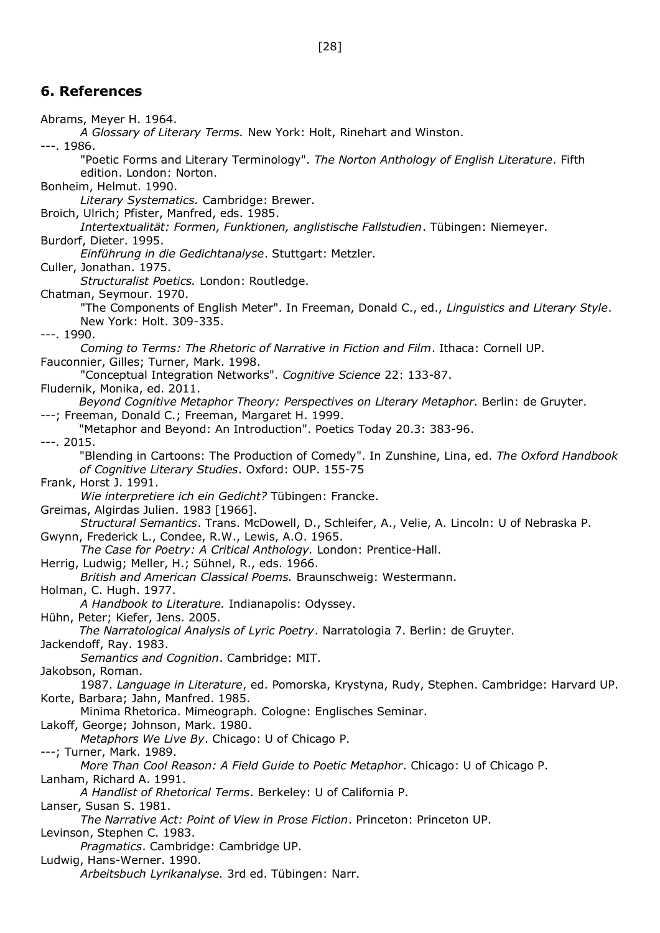## <span id="page-27-0"></span>**6. References**

Abrams, Meyer H. 1964. *A Glossary of Literary Terms.* New York: Holt, Rinehart and Winston. ---. 1986. "Poetic Forms and Literary Terminology". *The Norton Anthology of English Literature*. Fifth edition. London: Norton. Bonheim, Helmut. 1990. *Literary Systematics.* Cambridge: Brewer. Broich, Ulrich; Pfister, Manfred, eds. 1985. *Intertextualität: Formen, Funktionen, anglistische Fallstudien*. Tübingen: Niemeyer. Burdorf, Dieter. 1995. *Einführung in die Gedichtanalyse*. Stuttgart: Metzler. Culler, Jonathan. 1975. *Structuralist Poetics.* London: Routledge. Chatman, Seymour. 1970. "The Components of English Meter". In Freeman, Donald C., ed., *Linguistics and Literary Style*. New York: Holt. 309-335. ---. 1990. *Coming to Terms: The Rhetoric of Narrative in Fiction and Film*. Ithaca: Cornell UP. Fauconnier, Gilles; Turner, Mark. 1998. "Conceptual Integration Networks". *Cognitive Science* 22: 133-87. Fludernik, Monika, ed. 2011. *Beyond Cognitive Metaphor Theory: Perspectives on Literary Metaphor.* Berlin: de Gruyter. ---; Freeman, Donald C.; Freeman, Margaret H. 1999. "Metaphor and Beyond: An Introduction". Poetics Today 20.3: 383-96. ---. 2015. "Blending in Cartoons: The Production of Comedy". In Zunshine, Lina, ed. *The Oxford Handbook of Cognitive Literary Studies*. Oxford: OUP. 155-75 Frank, Horst J. 1991. *Wie interpretiere ich ein Gedicht?* Tübingen: Francke. Greimas, Algirdas Julien. 1983 [1966]. *Structural Semantics*. Trans. McDowell, D., Schleifer, A., Velie, A. Lincoln: U of Nebraska P. Gwynn, Frederick L., Condee, R.W., Lewis, A.O. 1965. *The Case for Poetry: A Critical Anthology.* London: Prentice-Hall. Herrig, Ludwig; Meller, H.; Sühnel, R., eds. 1966. *British and American Classical Poems.* Braunschweig: Westermann. Holman, C. Hugh. 1977. *A Handbook to Literature.* Indianapolis: Odyssey. Hühn, Peter; Kiefer, Jens. 2005. *The Narratological Analysis of Lyric Poetry*. Narratologia 7. Berlin: de Gruyter. Jackendoff, Ray. 1983. *Semantics and Cognition*. Cambridge: MIT. Jakobson, Roman. 1987. *Language in Literature*, ed. Pomorska, Krystyna, Rudy, Stephen. Cambridge: Harvard UP. Korte, Barbara; Jahn, Manfred. 1985. Minima Rhetorica. Mimeograph. Cologne: Englisches Seminar. Lakoff, George; Johnson, Mark. 1980. *Metaphors We Live By*. Chicago: U of Chicago P. ---; Turner, Mark. 1989. *More Than Cool Reason: A Field Guide to Poetic Metaphor*. Chicago: U of Chicago P. Lanham, Richard A. 1991. *A Handlist of Rhetorical Terms*. Berkeley: U of California P. Lanser, Susan S. 1981. *The Narrative Act: Point of View in Prose Fiction*. Princeton: Princeton UP. Levinson, Stephen C. 1983. *Pragmatics*. Cambridge: Cambridge UP. Ludwig, Hans-Werner. 1990. *Arbeitsbuch Lyrikanalyse.* 3rd ed. Tübingen: Narr.